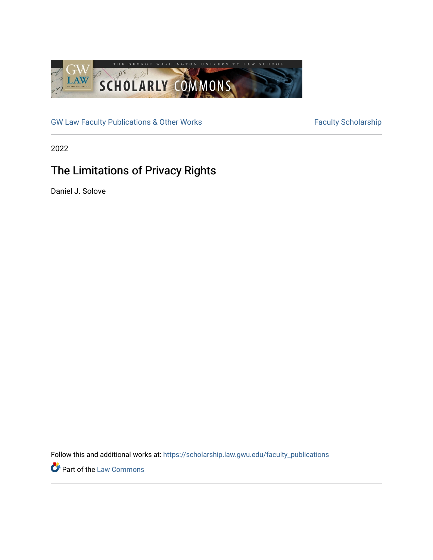

[GW Law Faculty Publications & Other Works](https://scholarship.law.gwu.edu/faculty_publications) Faculty Scholarship

2022

# The Limitations of Privacy Rights

Daniel J. Solove

Follow this and additional works at: [https://scholarship.law.gwu.edu/faculty\\_publications](https://scholarship.law.gwu.edu/faculty_publications?utm_source=scholarship.law.gwu.edu%2Ffaculty_publications%2F1605&utm_medium=PDF&utm_campaign=PDFCoverPages) 

Part of the [Law Commons](https://network.bepress.com/hgg/discipline/578?utm_source=scholarship.law.gwu.edu%2Ffaculty_publications%2F1605&utm_medium=PDF&utm_campaign=PDFCoverPages)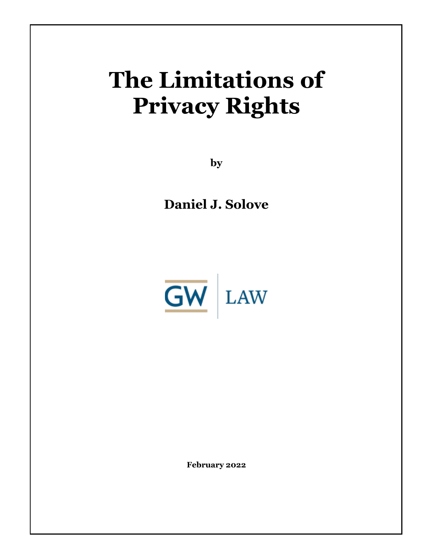# **The Limitations of Privacy Rights**

**by**

**Daniel J. Solove**



**February 2022**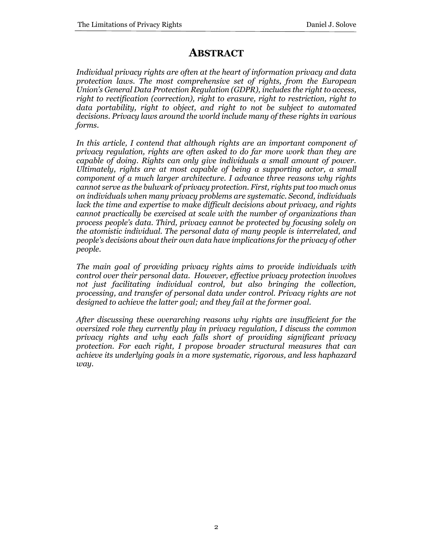# **ABSTRACT**

*Individual privacy rights are often at the heart of information privacy and data protection laws. The most comprehensive set of rights, from the European Union's General Data Protection Regulation (GDPR), includes the right to access, right to rectification (correction), right to erasure, right to restriction, right to data portability, right to object, and right to not be subject to automated decisions. Privacy laws around the world include many of these rights in various forms.* 

*In this article, I contend that although rights are an important component of privacy regulation, rights are often asked to do far more work than they are capable of doing. Rights can only give individuals a small amount of power. Ultimately, rights are at most capable of being a supporting actor, a small component of a much larger architecture. I advance three reasons why rights cannot serve as the bulwark of privacy protection. First, rights put too much onus on individuals when many privacy problems are systematic. Second, individuals lack the time and expertise to make difficult decisions about privacy, and rights cannot practically be exercised at scale with the number of organizations than process people's data. Third, privacy cannot be protected by focusing solely on the atomistic individual. The personal data of many people is interrelated, and people's decisions about their own data have implications for the privacy of other people.* 

*The main goal of providing privacy rights aims to provide individuals with control over their personal data. However, effective privacy protection involves not just facilitating individual control, but also bringing the collection, processing, and transfer of personal data under control. Privacy rights are not designed to achieve the latter goal; and they fail at the former goal.* 

*After discussing these overarching reasons why rights are insufficient for the oversized role they currently play in privacy regulation, I discuss the common privacy rights and why each falls short of providing significant privacy protection. For each right, I propose broader structural measures that can achieve its underlying goals in a more systematic, rigorous, and less haphazard way.*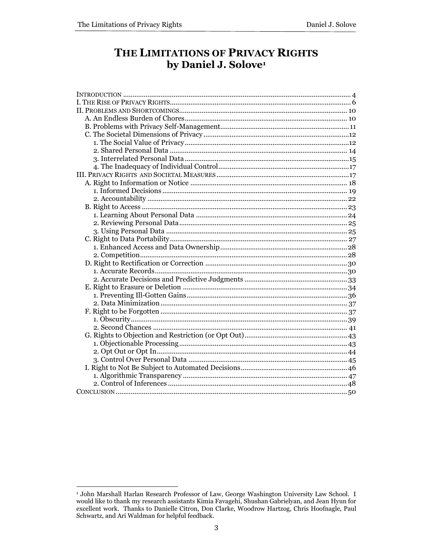# THE LIMITATIONS OF PRIVACY RIGHTS by Daniel J. Solove<sup>1</sup>

<sup>&</sup>lt;sup>1</sup> John Marshall Harlan Research Professor of Law, George Washington University Law School. I would like to thank my research assistants Kimia Favagehi, Shushan Gabrielyan, and Jean Hyun for excellent work. Thanks to Danielle Citron, Don Clarke, Woodrow Hartzog, Chris Hoofnagle, Paul Schwartz, and Ari Waldman for helpful feedback.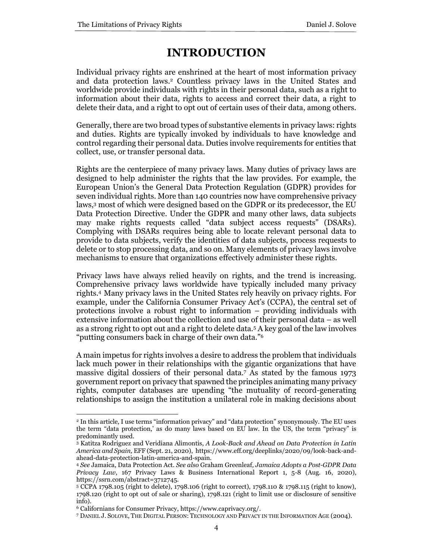# **INTRODUCTION**

Individual privacy rights are enshrined at the heart of most information privacy and data protection laws.<sup>2</sup> Countless privacy laws in the United States and worldwide provide individuals with rights in their personal data, such as a right to information about their data, rights to access and correct their data, a right to delete their data, and a right to opt out of certain uses of their data, among others.

Generally, there are two broad types of substantive elements in privacy laws: rights and duties. Rights are typically invoked by individuals to have knowledge and control regarding their personal data. Duties involve requirements for entities that collect, use, or transfer personal data.

Rights are the centerpiece of many privacy laws. Many duties of privacy laws are designed to help administer the rights that the law provides. For example, the European Union's the General Data Protection Regulation (GDPR) provides for seven individual rights. More than 140 countries now have comprehensive privacy laws,<sup>3</sup> most of which were designed based on the GDPR or its predecessor, the EU Data Protection Directive. Under the GDPR and many other laws, data subjects may make rights requests called "data subject access requests" (DSARs). Complying with DSARs requires being able to locate relevant personal data to provide to data subjects, verify the identities of data subjects, process requests to delete or to stop processing data, and so on. Many elements of privacy laws involve mechanisms to ensure that organizations effectively administer these rights.

Privacy laws have always relied heavily on rights, and the trend is increasing. Comprehensive privacy laws worldwide have typically included many privacy rights.<sup>4</sup> Many privacy laws in the United States rely heavily on privacy rights. For example, under the California Consumer Privacy Act's (CCPA), the central set of protections involve a robust right to information – providing individuals with extensive information about the collection and use of their personal data – as well as a strong right to opt out and a right to delete data.<sup>5</sup> A key goal of the law involves "putting consumers back in charge of their own data."<sup>6</sup>

A main impetus for rights involves a desire to address the problem that individuals lack much power in their relationships with the gigantic organizations that have massive digital dossiers of their personal data.<sup>7</sup> As stated by the famous 1973 government report on privacy that spawned the principles animating many privacy rights, computer databases are upending "the mutuality of record-generating relationships to assign the institution a unilateral role in making decisions about

<sup>2</sup> In this article, I use terms "information privacy" and "data protection" synonymously. The EU uses the term "data protection,' as do many laws based on EU law. In the US, the term "privacy" is predominantly used.

<sup>3</sup> Katitza Rodriguez and Veridiana Alimontis, *A Look-Back and Ahead on Data Protection in Latin America and Spain,* EFF (Sept. 21, 2020), https://www.eff.org/deeplinks/2020/09/look-back-andahead-data-protection-latin-america-and-spain.

<sup>4</sup> *See* Jamaica, Data Protection Act. *See also* Graham Greenleaf*, Jamaica Adopts a Post-GDPR Data Privacy Law*, 167 Privacy Laws & Business International Report 1, 5-8 (Aug. 16, 2020), https://ssrn.com/abstract=3712745.

<sup>5</sup> CCPA 1798.105 (right to delete), 1798.106 (right to correct), 1798.110 & 1798.115 (right to know), 1798.120 (right to opt out of sale or sharing), 1798.121 (right to limit use or disclosure of sensitive info).

<sup>6</sup> Californians for Consumer Privacy, https://www.caprivacy.org/.

<sup>7</sup> DANIEL J. SOLOVE, THE DIGITAL PERSON: TECHNOLOGY AND PRIVACY IN THE INFORMATION AGE (2004).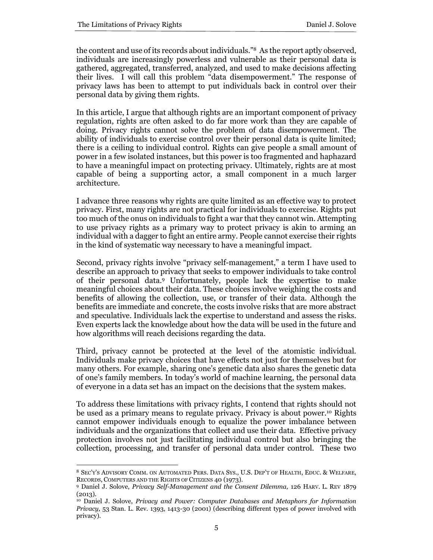the content and use of its records about individuals."<sup>8</sup> As the report aptly observed, individuals are increasingly powerless and vulnerable as their personal data is gathered, aggregated, transferred, analyzed, and used to make decisions affecting their lives. I will call this problem "data disempowerment." The response of privacy laws has been to attempt to put individuals back in control over their personal data by giving them rights.

In this article, I argue that although rights are an important component of privacy regulation, rights are often asked to do far more work than they are capable of doing. Privacy rights cannot solve the problem of data disempowerment. The ability of individuals to exercise control over their personal data is quite limited; there is a ceiling to individual control. Rights can give people a small amount of power in a few isolated instances, but this power is too fragmented and haphazard to have a meaningful impact on protecting privacy. Ultimately, rights are at most capable of being a supporting actor, a small component in a much larger architecture.

I advance three reasons why rights are quite limited as an effective way to protect privacy. First, many rights are not practical for individuals to exercise. Rights put too much of the onus on individuals to fight a war that they cannot win. Attempting to use privacy rights as a primary way to protect privacy is akin to arming an individual with a dagger to fight an entire army. People cannot exercise their rights in the kind of systematic way necessary to have a meaningful impact.

Second, privacy rights involve "privacy self-management," a term I have used to describe an approach to privacy that seeks to empower individuals to take control of their personal data.<sup>9</sup> Unfortunately, people lack the expertise to make meaningful choices about their data. These choices involve weighing the costs and benefits of allowing the collection, use, or transfer of their data. Although the benefits are immediate and concrete, the costs involve risks that are more abstract and speculative. Individuals lack the expertise to understand and assess the risks. Even experts lack the knowledge about how the data will be used in the future and how algorithms will reach decisions regarding the data.

Third, privacy cannot be protected at the level of the atomistic individual. Individuals make privacy choices that have effects not just for themselves but for many others. For example, sharing one's genetic data also shares the genetic data of one's family members. In today's world of machine learning, the personal data of everyone in a data set has an impact on the decisions that the system makes.

To address these limitations with privacy rights, I contend that rights should not be used as a primary means to regulate privacy. Privacy is about power.<sup>10</sup> Rights cannot empower individuals enough to equalize the power imbalance between individuals and the organizations that collect and use their data. Effective privacy protection involves not just facilitating individual control but also bringing the collection, processing, and transfer of personal data under control. These two

<sup>8</sup> SEC'Y'S ADVISORY COMM. ON AUTOMATED PERS. DATA SYS., U.S. DEP'T OF HEALTH, EDUC. & WELFARE, RECORDS, COMPUTERS AND THE RIGHTS OF CITIZENS 40 (1973).

<sup>9</sup> Daniel J. Solove, *Privacy Self-Management and the Consent Dilemma,* 126 HARV. L. REV 1879 (2013).

<sup>&</sup>lt;sup>10</sup> Daniel J. Solove, *Privacy and Power: Computer Databases and Metaphors for Information Privacy,* 53 Stan. L. Rev. 1393, 1413-30 (2001) (describing different types of power involved with privacy).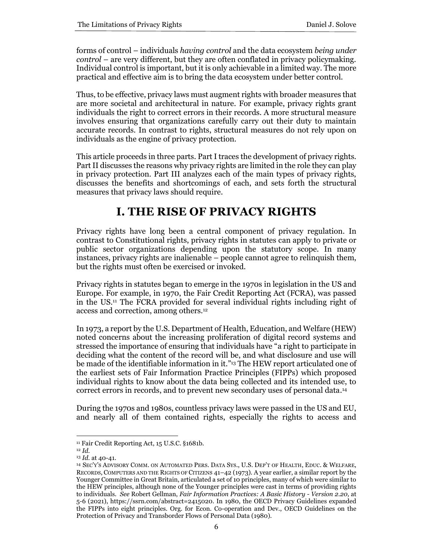forms of control – individuals *having control* and the data ecosystem *being under control* – are very different, but they are often conflated in privacy policymaking. Individual control is important, but it is only achievable in a limited way. The more practical and effective aim is to bring the data ecosystem under better control.

Thus, to be effective, privacy laws must augment rights with broader measures that are more societal and architectural in nature. For example, privacy rights grant individuals the right to correct errors in their records. A more structural measure involves ensuring that organizations carefully carry out their duty to maintain accurate records. In contrast to rights, structural measures do not rely upon on individuals as the engine of privacy protection.

This article proceeds in three parts. Part I traces the development of privacy rights. Part II discusses the reasons why privacy rights are limited in the role they can play in privacy protection. Part III analyzes each of the main types of privacy rights, discusses the benefits and shortcomings of each, and sets forth the structural measures that privacy laws should require.

# **I. THE RISE OF PRIVACY RIGHTS**

Privacy rights have long been a central component of privacy regulation. In contrast to Constitutional rights, privacy rights in statutes can apply to private or public sector organizations depending upon the statutory scope. In many instances, privacy rights are inalienable – people cannot agree to relinquish them, but the rights must often be exercised or invoked.

Privacy rights in statutes began to emerge in the 1970s in legislation in the US and Europe. For example, in 1970, the Fair Credit Reporting Act (FCRA), was passed in the US. <sup>11</sup> The FCRA provided for several individual rights including right of access and correction, among others.<sup>12</sup>

In 1973, a report by the U.S. Department of Health, Education, and Welfare (HEW) noted concerns about the increasing proliferation of digital record systems and stressed the importance of ensuring that individuals have "a right to participate in deciding what the content of the record will be, and what disclosure and use will be made of the identifiable information in it." <sup>13</sup> The HEW report articulated one of the earliest sets of Fair Information Practice Principles (FIPPs) which proposed individual rights to know about the data being collected and its intended use, to correct errors in records, and to prevent new secondary uses of personal data. 14

During the 1970s and 1980s, countless privacy laws were passed in the US and EU, and nearly all of them contained rights, especially the rights to access and

<sup>&</sup>lt;sup>11</sup> Fair Credit Reporting Act, 15 U.S.C. §1681b.

<sup>12</sup> *Id.*

<sup>13</sup> *Id.* at 40-41.

<sup>14</sup> SEC'Y'S ADVISORY COMM. ON AUTOMATED PERS. DATA SYS., U.S. DEP'T OF HEALTH, EDUC. & WELFARE, RECORDS, COMPUTERS AND THE RIGHTS OF CITIZENS 41–42 (1973). A year earlier, a similar report by the Younger Committee in Great Britain, articulated a set of 10 principles, many of which were similar to the HEW principles, although none of the Younger principles were cast in terms of providing rights to individuals. *See* Robert Gellman, *Fair Information Practices: A Basic History - Version 2.20,* at 5-6 (2021), https://ssrn.com/abstract=2415020. In 1980, the OECD Privacy Guidelines expanded the FIPPs into eight principles. Org. for Econ. Co-operation and Dev., OECD Guidelines on the Protection of Privacy and Transborder Flows of Personal Data (1980).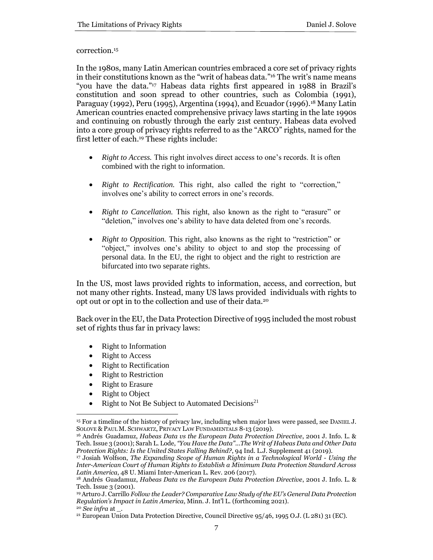#### correction.<sup>15</sup>

In the 1980s, many Latin American countries embraced a core set of privacy rights in their constitutions known as the "writ of habeas data*.*" <sup>16</sup> The writ's name means "you have the data."<sup>17</sup> Habeas data rights first appeared in 1988 in Brazil's constitution and soon spread to other countries, such as Colombia (1991), Paraguay (1992), Peru (1995), Argentina (1994), and Ecuador (1996).<sup>18</sup> Many Latin American countries enacted comprehensive privacy laws starting in the late 1990s and continuing on robustly through the early 21st century. Habeas data evolved into a core group of privacy rights referred to as the "ARCO" rights, named for the first letter of each.<sup>19</sup> These rights include:

- *Right to Access.* This right involves direct access to one's records. It is often combined with the right to information.
- *Right to Rectification*. This right, also called the right to "correction," involves one's ability to correct errors in one's records.
- *Right to Cancellation.* This right, also known as the right to "erasure" or "deletion," involves one's ability to have data deleted from one's records.
- *Right to Opposition.* This right, also knowns as the right to "restriction" or "object," involves one's ability to object to and stop the processing of personal data. In the EU, the right to object and the right to restriction are bifurcated into two separate rights.

In the US, most laws provided rights to information, access, and correction, but not many other rights. Instead, many US laws provided individuals with rights to opt out or opt in to the collection and use of their data.<sup>20</sup>

Back over in the EU, the Data Protection Directive of 1995 included the most robust set of rights thus far in privacy laws:

- Right to Information
- Right to Access
- Right to Rectification
- Right to Restriction
- Right to Erasure
- **Right to Object**
- Right to Not Be Subject to Automated Decisions<sup>21</sup>

<sup>15</sup> For a timeline of the history of privacy law, including when major laws were passed, see DANIEL J. SOLOVE & PAUL M. SCHWARTZ, PRIVACY LAW FUNDAMENTALS 8-13 (2019).

<sup>16</sup> Andrés Guadamuz, *Habeas Data vs the European Data Protection Directive*, 2001 J. Info. L. & Tech. Issue 3 (2001); Sarah L. Lode, *"You Have the Data"...The Writ of Habeas Data and Other Data Protection Rights: Is the United States Falling Behind?*, 94 Ind. L.J. Supplement 41 (2019).

<sup>17</sup> Josiah Wolfson, *The Expanding Scope of Human Rights in a Technological World - Using the Inter-American Court of Human Rights to Establish a Minimum Data Protection Standard Across Latin America*, 48 U. Miami Inter-American L. Rev. 206 (2017).

<sup>18</sup> Andrés Guadamuz, *Habeas Data vs the European Data Protection Directive*, 2001 J. Info. L. & Tech. Issue 3 (2001).

<sup>19</sup> Arturo J. Carrillo *Follow the Leader? Comparative Law Study of the EU's General Data Protection Regulation's Impact in Latin America*, Minn. J. Int'l L. (forthcoming 2021).

<sup>20</sup> *See infra* at \_.

<sup>21</sup> European Union Data Protection Directive, Council Directive 95/46, 1995 O.J. (L 281) 31 (EC).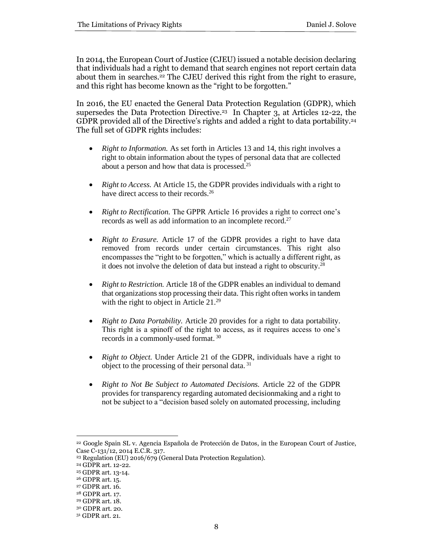In 2014, the European Court of Justice (CJEU) issued a notable decision declaring that individuals had a right to demand that search engines not report certain data about them in searches.<sup>22</sup> The CJEU derived this right from the right to erasure, and this right has become known as the "right to be forgotten."

In 2016, the EU enacted the General Data Protection Regulation (GDPR), which supersedes the Data Protection Directive.<sup>23</sup> In Chapter 3, at Articles 12-22, the GDPR provided all of the Directive's rights and added a right to data portability.<sup>24</sup> The full set of GDPR rights includes:

- *Right to Information.* As set forth in Articles 13 and 14, this right involves a right to obtain information about the types of personal data that are collected about a person and how that data is processed.<sup>25</sup>
- *Right to Access.* At Article 15, the GDPR provides individuals with a right to have direct access to their records.<sup>26</sup>
- *Right to Rectification.* The GPPR Article 16 provides a right to correct one's records as well as add information to an incomplete record.<sup>27</sup>
- *Right to Erasure.* Article 17 of the GDPR provides a right to have data removed from records under certain circumstances. This right also encompasses the "right to be forgotten," which is actually a different right, as it does not involve the deletion of data but instead a right to obscurity.<sup>28</sup>
- *Right to Restriction.* Article 18 of the GDPR enables an individual to demand that organizations stop processing their data. This right often works in tandem with the right to object in Article 21.<sup>29</sup>
- *Right to Data Portability.* Article 20 provides for a right to data portability. This right is a spinoff of the right to access, as it requires access to one's records in a commonly-used format.<sup>30</sup>
- *Right to Object.* Under Article 21 of the GDPR, individuals have a right to object to the processing of their personal data. <sup>31</sup>
- *Right to Not Be Subject to Automated Decisions.* Article 22 of the GDPR provides for transparency regarding automated decisionmaking and a right to not be subject to a "decision based solely on automated processing, including

<sup>22</sup> Google Spain SL v. Agencia Española de Protección de Datos, in the European Court of Justice, Case C-131/12, 2014 E.C.R. 317.

<sup>23</sup> Regulation (EU) 2016/679 (General Data Protection Regulation).

<sup>24</sup> GDPR art. 12-22.

<sup>25</sup> GDPR art. 13-14.

<sup>26</sup> GDPR art. 15.

<sup>27</sup> GDPR art. 16.

<sup>28</sup> GDPR art. 17.

<sup>29</sup> GDPR art. 18.

<sup>30</sup> GDPR art. 20.

<sup>31</sup> GDPR art. 21.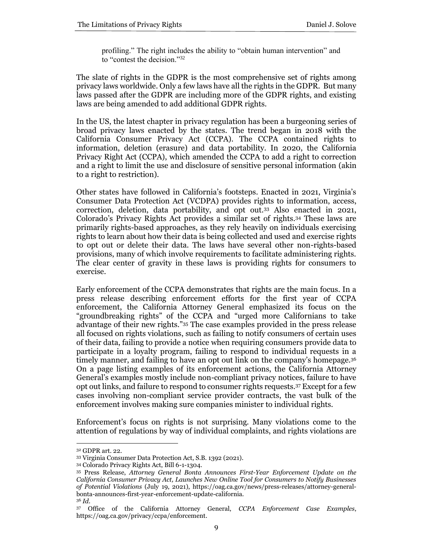profiling." The right includes the ability to "obtain human intervention" and to "contest the decision."<sup>32</sup>

The slate of rights in the GDPR is the most comprehensive set of rights among privacy laws worldwide. Only a few laws have all the rights in the GDPR. But many laws passed after the GDPR are including more of the GDPR rights, and existing laws are being amended to add additional GDPR rights.

In the US, the latest chapter in privacy regulation has been a burgeoning series of broad privacy laws enacted by the states. The trend began in 2018 with the California Consumer Privacy Act (CCPA). The CCPA contained rights to information, deletion (erasure) and data portability. In 2020, the California Privacy Right Act (CCPA), which amended the CCPA to add a right to correction and a right to limit the use and disclosure of sensitive personal information (akin to a right to restriction).

Other states have followed in California's footsteps. Enacted in 2021, Virginia's Consumer Data Protection Act (VCDPA) provides rights to information, access, correction, deletion, data portability, and opt out.<sup>33</sup> Also enacted in 2021, Colorado's Privacy Rights Act provides a similar set of rights.<sup>34</sup> These laws are primarily rights-based approaches, as they rely heavily on individuals exercising rights to learn about how their data is being collected and used and exercise rights to opt out or delete their data. The laws have several other non-rights-based provisions, many of which involve requirements to facilitate administering rights. The clear center of gravity in these laws is providing rights for consumers to exercise.

Early enforcement of the CCPA demonstrates that rights are the main focus. In a press release describing enforcement efforts for the first year of CCPA enforcement, the California Attorney General emphasized its focus on the "groundbreaking rights" of the CCPA and "urged more Californians to take advantage of their new rights."<sup>35</sup> The case examples provided in the press release all focused on rights violations, such as failing to notify consumers of certain uses of their data, failing to provide a notice when requiring consumers provide data to participate in a loyalty program, failing to respond to individual requests in a timely manner, and failing to have an opt out link on the company's homepage.<sup>36</sup> On a page listing examples of its enforcement actions, the California Attorney General's examples mostly include non-compliant privacy notices, failure to have opt out links, and failure to respond to consumer rights requests.<sup>37</sup> Except for a few cases involving non-compliant service provider contracts, the vast bulk of the enforcement involves making sure companies minister to individual rights.

Enforcement's focus on rights is not surprising. Many violations come to the attention of regulations by way of individual complaints, and rights violations are

<sup>32</sup> GDPR art. 22.

<sup>33</sup> Virginia Consumer Data Protection Act, S.B. 1392 (2021).

<sup>34</sup> Colorado Privacy Rights Act, Bill 6-1-1304.

<sup>35</sup> Press Release, *Attorney General Bonta Announces First-Year Enforcement Update on the California Consumer Privacy Act, Launches New Online Tool for Consumers to Notify Businesses of Potential Violations* (July 19, 2021), https://oag.ca.gov/news/press-releases/attorney-generalbonta-announces-first-year-enforcement-update-california.

<sup>36</sup> *Id.*

<sup>37</sup> Office of the California Attorney General, *CCPA Enforcement Case Examples*, https://oag.ca.gov/privacy/ccpa/enforcement.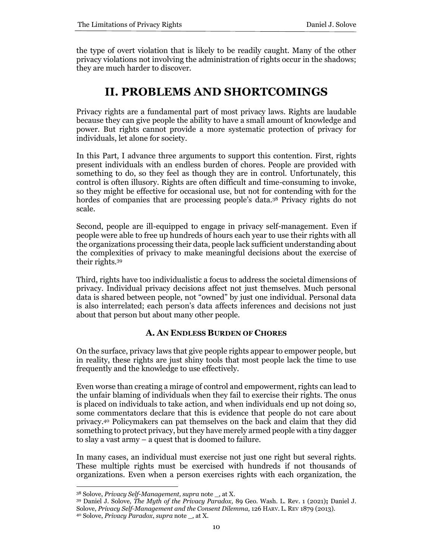the type of overt violation that is likely to be readily caught. Many of the other privacy violations not involving the administration of rights occur in the shadows; they are much harder to discover.

# **II. PROBLEMS AND SHORTCOMINGS**

Privacy rights are a fundamental part of most privacy laws. Rights are laudable because they can give people the ability to have a small amount of knowledge and power. But rights cannot provide a more systematic protection of privacy for individuals, let alone for society.

In this Part, I advance three arguments to support this contention. First, rights present individuals with an endless burden of chores. People are provided with something to do, so they feel as though they are in control. Unfortunately, this control is often illusory. Rights are often difficult and time-consuming to invoke, so they might be effective for occasional use, but not for contending with for the hordes of companies that are processing people's data.<sup>38</sup> Privacy rights do not scale.

Second, people are ill-equipped to engage in privacy self-management. Even if people were able to free up hundreds of hours each year to use their rights with all the organizations processing their data, people lack sufficient understanding about the complexities of privacy to make meaningful decisions about the exercise of their rights.<sup>39</sup>

Third, rights have too individualistic a focus to address the societal dimensions of privacy. Individual privacy decisions affect not just themselves. Much personal data is shared between people, not "owned" by just one individual. Personal data is also interrelated; each person's data affects inferences and decisions not just about that person but about many other people.

# **A. AN ENDLESS BURDEN OF CHORES**

On the surface, privacy laws that give people rights appear to empower people, but in reality, these rights are just shiny tools that most people lack the time to use frequently and the knowledge to use effectively.

Even worse than creating a mirage of control and empowerment, rights can lead to the unfair blaming of individuals when they fail to exercise their rights. The onus is placed on individuals to take action, and when individuals end up not doing so, some commentators declare that this is evidence that people do not care about privacy.<sup>40</sup> Policymakers can pat themselves on the back and claim that they did something to protect privacy, but they have merely armed people with a tiny dagger to slay a vast army – a quest that is doomed to failure.

In many cases, an individual must exercise not just one right but several rights. These multiple rights must be exercised with hundreds if not thousands of organizations. Even when a person exercises rights with each organization, the

<sup>38</sup> Solove, *Privacy Self-Management, supra* note \_, at X.

<sup>39</sup> Daniel J. Solove, *The Myth of the Privacy Paradox,* 89 Geo. Wash. L. Rev. 1 (2021)**;** Daniel J. Solove, *Privacy Self-Management and the Consent Dilemma,* 126 HARV. L. REV 1879 (2013).

<sup>40</sup> Solove, *Privacy Paradox*, *supra* note \_, at X.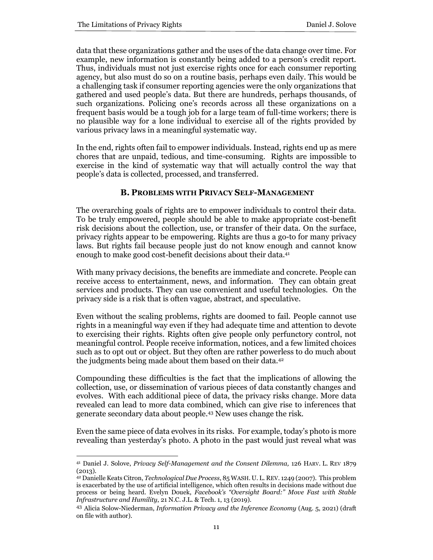data that these organizations gather and the uses of the data change over time. For example, new information is constantly being added to a person's credit report. Thus, individuals must not just exercise rights once for each consumer reporting agency, but also must do so on a routine basis, perhaps even daily. This would be a challenging task if consumer reporting agencies were the only organizations that gathered and used people's data. But there are hundreds, perhaps thousands, of such organizations. Policing one's records across all these organizations on a frequent basis would be a tough job for a large team of full-time workers; there is no plausible way for a lone individual to exercise all of the rights provided by various privacy laws in a meaningful systematic way.

In the end, rights often fail to empower individuals. Instead, rights end up as mere chores that are unpaid, tedious, and time-consuming. Rights are impossible to exercise in the kind of systematic way that will actually control the way that people's data is collected, processed, and transferred.

# **B. PROBLEMS WITH PRIVACY SELF-MANAGEMENT**

The overarching goals of rights are to empower individuals to control their data. To be truly empowered, people should be able to make appropriate cost-benefit risk decisions about the collection, use, or transfer of their data. On the surface, privacy rights appear to be empowering. Rights are thus a go-to for many privacy laws. But rights fail because people just do not know enough and cannot know enough to make good cost-benefit decisions about their data. 41

With many privacy decisions, the benefits are immediate and concrete. People can receive access to entertainment, news, and information. They can obtain great services and products. They can use convenient and useful technologies. On the privacy side is a risk that is often vague, abstract, and speculative.

Even without the scaling problems, rights are doomed to fail. People cannot use rights in a meaningful way even if they had adequate time and attention to devote to exercising their rights. Rights often give people only perfunctory control, not meaningful control. People receive information, notices, and a few limited choices such as to opt out or object. But they often are rather powerless to do much about the judgments being made about them based on their data.<sup>42</sup>

Compounding these difficulties is the fact that the implications of allowing the collection, use, or dissemination of various pieces of data constantly changes and evolves. With each additional piece of data, the privacy risks change. More data revealed can lead to more data combined, which can give rise to inferences that generate secondary data about people.<sup>43</sup> New uses change the risk.

Even the same piece of data evolves in its risks. For example, today's photo is more revealing than yesterday's photo. A photo in the past would just reveal what was

<sup>41</sup> Daniel J. Solove, *Privacy Self-Management and the Consent Dilemma,* 126 HARV. L. REV 1879 (2013).

<sup>42</sup> Danielle Keats Citron, *Technological Due Process*, 85 WASH. U. L. REV. 1249 (2007). This problem is exacerbated by the use of artificial intelligence, which often results in decisions made without due process or being heard. Evelyn Douek, *Facebook's "Oversight Board:" Move Fast with Stable Infrastructure and Humility*, 21 N.C. J.L. & Tech. 1, 13 (2019).

<sup>43</sup> Alicia Solow-Niederman, *Information Privacy and the Inference Economy* (Aug. 5, 2021) (draft on file with author).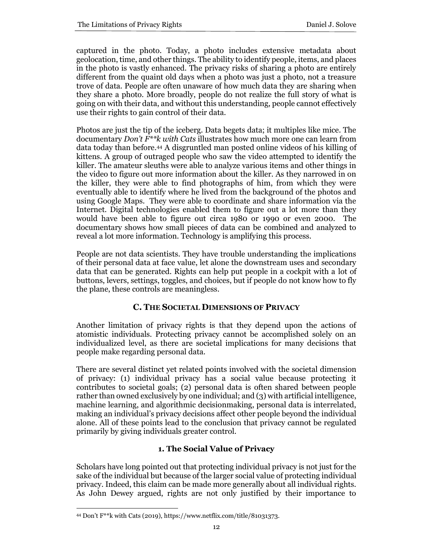captured in the photo. Today, a photo includes extensive metadata about geolocation, time, and other things. The ability to identify people, items, and places in the photo is vastly enhanced. The privacy risks of sharing a photo are entirely different from the quaint old days when a photo was just a photo, not a treasure trove of data. People are often unaware of how much data they are sharing when they share a photo. More broadly, people do not realize the full story of what is going on with their data, and without this understanding, people cannot effectively use their rights to gain control of their data.

Photos are just the tip of the iceberg. Data begets data; it multiples like mice. The documentary *Don't F\*\*k with Cats* illustrates how much more one can learn from data today than before.<sup>44</sup> A disgruntled man posted online videos of his killing of kittens. A group of outraged people who saw the video attempted to identify the killer. The amateur sleuths were able to analyze various items and other things in the video to figure out more information about the killer. As they narrowed in on the killer, they were able to find photographs of him, from which they were eventually able to identify where he lived from the background of the photos and using Google Maps. They were able to coordinate and share information via the Internet. Digital technologies enabled them to figure out a lot more than they would have been able to figure out circa 1980 or 1990 or even 2000. The documentary shows how small pieces of data can be combined and analyzed to reveal a lot more information. Technology is amplifying this process.

People are not data scientists. They have trouble understanding the implications of their personal data at face value, let alone the downstream uses and secondary data that can be generated. Rights can help put people in a cockpit with a lot of buttons, levers, settings, toggles, and choices, but if people do not know how to fly the plane, these controls are meaningless.

# **C. THE SOCIETAL DIMENSIONS OF PRIVACY**

Another limitation of privacy rights is that they depend upon the actions of atomistic individuals. Protecting privacy cannot be accomplished solely on an individualized level, as there are societal implications for many decisions that people make regarding personal data.

There are several distinct yet related points involved with the societal dimension of privacy: (1) individual privacy has a social value because protecting it contributes to societal goals; (2) personal data is often shared between people rather than owned exclusively by one individual; and (3) with artificial intelligence, machine learning, and algorithmic decisionmaking, personal data is interrelated, making an individual's privacy decisions affect other people beyond the individual alone. All of these points lead to the conclusion that privacy cannot be regulated primarily by giving individuals greater control.

# **1. The Social Value of Privacy**

Scholars have long pointed out that protecting individual privacy is not just for the sake of the individual but because of the larger social value of protecting individual privacy. Indeed, this claim can be made more generally about all individual rights. As John Dewey argued, rights are not only justified by their importance to

<sup>44</sup> Don't F\*\*k with Cats (2019), https://www.netflix.com/title/81031373.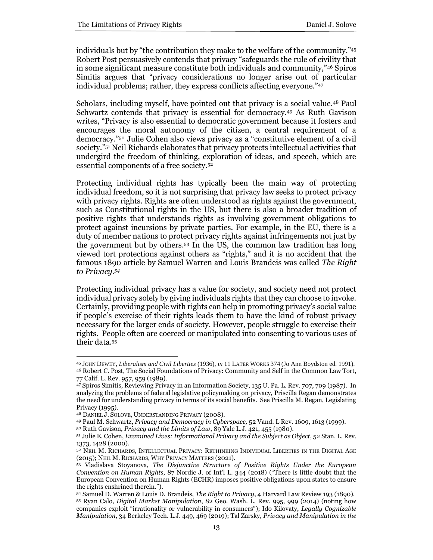individuals but by "the contribution they make to the welfare of the community."<sup>45</sup> Robert Post persuasively contends that privacy "safeguards the rule of civility that in some significant measure constitute both individuals and community,"<sup>46</sup> Spiros Simitis argues that "privacy considerations no longer arise out of particular individual problems; rather, they express conflicts affecting everyone."<sup>47</sup>

Scholars, including myself, have pointed out that privacy is a social value.<sup>48</sup> Paul Schwartz contends that privacy is essential for democracy.<sup>49</sup> As Ruth Gavison writes, "Privacy is also essential to democratic government because it fosters and encourages the moral autonomy of the citizen, a central requirement of a democracy."<sup>50</sup> Julie Cohen also views privacy as a "constitutive element of a civil society."<sup>51</sup> Neil Richards elaborates that privacy protects intellectual activities that undergird the freedom of thinking, exploration of ideas, and speech, which are essential components of a free society.<sup>52</sup>

Protecting individual rights has typically been the main way of protecting individual freedom, so it is not surprising that privacy law seeks to protect privacy with privacy rights. Rights are often understood as rights against the government, such as Constitutional rights in the US, but there is also a broader tradition of positive rights that understands rights as involving government obligations to protect against incursions by private parties. For example, in the EU, there is a duty of member nations to protect privacy rights against infringements not just by the government but by others.<sup>53</sup> In the US, the common law tradition has long viewed tort protections against others as "rights," and it is no accident that the famous 1890 article by Samuel Warren and Louis Brandeis was called *The Right to Privacy.<sup>54</sup>*

Protecting individual privacy has a value for society, and society need not protect individual privacy solely by giving individuals rights that they can choose to invoke. Certainly, providing people with rights can help in promoting privacy's social value if people's exercise of their rights leads them to have the kind of robust privacy necessary for the larger ends of society. However, people struggle to exercise their rights. People often are coerced or manipulated into consenting to various uses of their data.<sup>55</sup>

<sup>45</sup> JOHN DEWEY, *Liberalism and Civil Liberties* (1936), *in* 11 LATER WORKS 374 (Jo Ann Boydston ed. 1991). <sup>46</sup> Robert C. Post, The Social Foundations of Privacy: Community and Self in the Common Law Tort, 77 Calif. L. Rev. 957, 959 (1989).

<sup>47</sup> Spiros Simitis, Reviewing Privacy in an Information Society, 135 U. Pa. L. Rev. 707, 709 (1987). In analyzing the problems of federal legislative policymaking on privacy, Priscilla Regan demonstrates the need for understanding privacy in terms of its social benefits. See Priscilla M. Regan, Legislating Privacy (1995).

<sup>48</sup> DANIEL J. SOLOVE, UNDERSTANDING PRIVACY (2008).

<sup>49</sup> Paul M. Schwartz, *Privacy and Democracy in Cyberspace,* 52 Vand. L Rev. 1609, 1613 (1999).

<sup>50</sup> Ruth Gavison, *Privacy and the Limits of Law*, 89 Yale L.J. 421, 455 (1980).

<sup>51</sup> Julie E. Cohen, *Examined Lives: Informational Privacy and the Subject as Object*, 52 Stan. L. Rev. 1373, 1428 (2000).

<sup>52</sup> NEIL M. RICHARDS, INTELLECTUAL PRIVACY: RETHINKING INDIVIDUAL LIBERTIES IN THE DIGITAL AGE (2015); NEIL M. RICHARDS, WHY PRIVACY MATTERS (2021).

<sup>53</sup> Vladislava Stoyanova, *The Disjunctive Structure of Positive Rights Under the European Convention on Human Rights*, 87 Nordic J. of Int'l L. 344 (2018) ("There is little doubt that the European Convention on Human Rights (ECHR) imposes positive obligations upon states to ensure the rights enshrined therein.").

<sup>54</sup> Samuel D. Warren & Louis D. Brandeis, *The Right to Privacy*, 4 Harvard Law Review 193 (1890). <sup>55</sup> Ryan Calo, *Digital Market Manipulation*, 82 Geo. Wash. L. Rev. 995, 999 (2014) (noting how companies exploit "irrationality or vulnerability in consumers"); Ido Kilovaty, *Legally Cognizable Manipulation*, 34 Berkeley Tech. L.J. 449, 469 (2019); Tal Zarsky, *Privacy and Manipulation in the*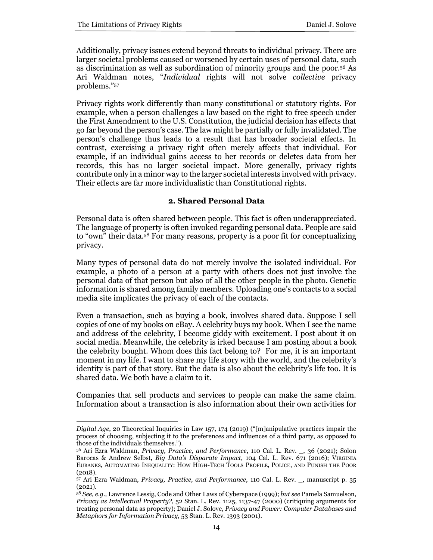Additionally, privacy issues extend beyond threats to individual privacy. There are larger societal problems caused or worsened by certain uses of personal data, such as discrimination as well as subordination of minority groups and the poor.<sup>56</sup> As Ari Waldman notes, "*Individual* rights will not solve *collective* privacy problems."<sup>57</sup>

Privacy rights work differently than many constitutional or statutory rights. For example, when a person challenges a law based on the right to free speech under the First Amendment to the U.S. Constitution, the judicial decision has effects that go far beyond the person's case. The law might be partially or fully invalidated. The person's challenge thus leads to a result that has broader societal effects. In contrast, exercising a privacy right often merely affects that individual. For example, if an individual gains access to her records or deletes data from her records, this has no larger societal impact. More generally, privacy rights contribute only in a minor way to the larger societal interests involved with privacy. Their effects are far more individualistic than Constitutional rights.

#### **2. Shared Personal Data**

Personal data is often shared between people. This fact is often underappreciated. The language of property is often invoked regarding personal data. People are said to "own" their data.<sup>58</sup> For many reasons, property is a poor fit for conceptualizing privacy.

Many types of personal data do not merely involve the isolated individual. For example, a photo of a person at a party with others does not just involve the personal data of that person but also of all the other people in the photo. Genetic information is shared among family members. Uploading one's contacts to a social media site implicates the privacy of each of the contacts.

Even a transaction, such as buying a book, involves shared data. Suppose I sell copies of one of my books on eBay. A celebrity buys my book. When I see the name and address of the celebrity, I become giddy with excitement. I post about it on social media. Meanwhile, the celebrity is irked because I am posting about a book the celebrity bought. Whom does this fact belong to? For me, it is an important moment in my life. I want to share my life story with the world, and the celebrity's identity is part of that story. But the data is also about the celebrity's life too. It is shared data. We both have a claim to it.

Companies that sell products and services to people can make the same claim. Information about a transaction is also information about their own activities for

*Digital Age*, 20 Theoretical Inquiries in Law 157, 174 (2019) ("[m]anipulative practices impair the process of choosing, subjecting it to the preferences and influences of a third party, as opposed to those of the individuals themselves.").

<sup>56</sup> Ari Ezra Waldman, *Privacy, Practice, and Performance*, 110 Cal. L. Rev. \_, 36 (2021); Solon Barocas & Andrew Selbst, *Big Data's Disparate Impact*, 104 Cal. L. Rev. 671 (2016); VIRGINIA EUBANKS, AUTOMATING INEQUALITY: HOW HIGH-TECH TOOLS PROFILE, POLICE, AND PUNISH THE POOR (2018).

<sup>57</sup> Ari Ezra Waldman, *Privacy, Practice, and Performance*, 110 Cal. L. Rev. \_, manuscript p. 35 (2021).

<sup>58</sup> *See, e.g.,* Lawrence Lessig, Code and Other Laws of Cyberspace (1999); *but see* Pamela Samuelson, *Privacy as Intellectual Property?,* 52 Stan. L. Rev. 1125, 1137-47 (2000) (critiquing arguments for treating personal data as property); Daniel J. Solove, *Privacy and Power: Computer Databases and Metaphors for Information Privacy,* 53 Stan. L. Rev. 1393 (2001).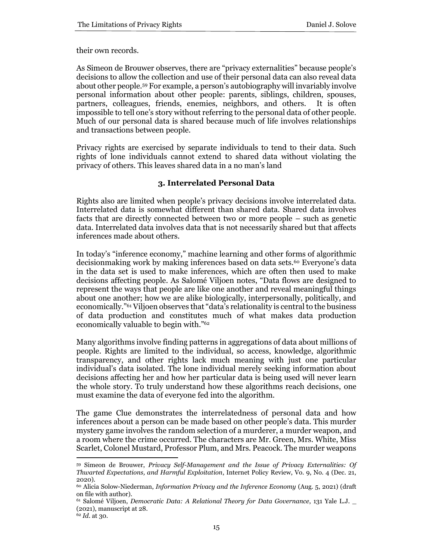their own records.

As Simeon de Brouwer observes, there are "privacy externalities" because people's decisions to allow the collection and use of their personal data can also reveal data about other people.<sup>59</sup> For example, a person's autobiography will invariably involve personal information about other people: parents, siblings, children, spouses, partners, colleagues, friends, enemies, neighbors, and others. It is often impossible to tell one's story without referring to the personal data of other people. Much of our personal data is shared because much of life involves relationships and transactions between people.

Privacy rights are exercised by separate individuals to tend to their data. Such rights of lone individuals cannot extend to shared data without violating the privacy of others. This leaves shared data in a no man's land

#### **3. Interrelated Personal Data**

Rights also are limited when people's privacy decisions involve interrelated data. Interrelated data is somewhat different than shared data. Shared data involves facts that are directly connected between two or more people – such as genetic data. Interrelated data involves data that is not necessarily shared but that affects inferences made about others.

In today's "inference economy," machine learning and other forms of algorithmic decisionmaking work by making inferences based on data sets.<sup>60</sup> Everyone's data in the data set is used to make inferences, which are often then used to make decisions affecting people. As Salomé Viljoen notes, "Data flows are designed to represent the ways that people are like one another and reveal meaningful things about one another; how we are alike biologically, interpersonally, politically, and economically."<sup>61</sup> Viljoen observes that "data's relationality is central to the business of data production and constitutes much of what makes data production economically valuable to begin with."<sup>62</sup>

Many algorithms involve finding patterns in aggregations of data about millions of people. Rights are limited to the individual, so access, knowledge, algorithmic transparency, and other rights lack much meaning with just one particular individual's data isolated. The lone individual merely seeking information about decisions affecting her and how her particular data is being used will never learn the whole story. To truly understand how these algorithms reach decisions, one must examine the data of everyone fed into the algorithm.

The game Clue demonstrates the interrelatedness of personal data and how inferences about a person can be made based on other people's data. This murder mystery game involves the random selection of a murderer, a murder weapon, and a room where the crime occurred. The characters are Mr. Green, Mrs. White, Miss Scarlet, Colonel Mustard, Professor Plum, and Mrs. Peacock. The murder weapons

<sup>59</sup> Simeon de Brouwer, *Privacy Self-Management and the Issue of Privacy Externalities: Of Thwarted Expectations, and Harmful Exploitation*, Internet Policy Review, Vo. 9, No. 4 (Dec. 21, 2020).

<sup>60</sup> Alicia Solow-Niederman, *Information Privacy and the Inference Economy* (Aug. 5, 2021) (draft on file with author).

<sup>61</sup> Salomé Viljoen, *Democratic Data: A Relational Theory for Data Governance*, 131 Yale L.J. \_ (2021), manuscript at 28.

<sup>62</sup> *Id.* at 30.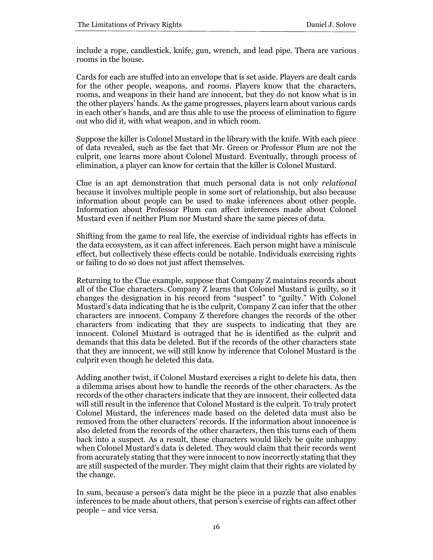include a rope, candlestick, knife, gun, wrench, and lead pipe. Thera are various rooms in the house.

Cards for each are stuffed into an envelope that is set aside. Players are dealt cards for the other people, weapons, and rooms. Players know that the characters, rooms, and weapons in their hand are innocent, but they do not know what is in the other players' hands. As the game progresses, players learn about various cards in each other's hands, and are thus able to use the process of elimination to figure out who did it, with what weapon, and in which room.

Suppose the killer is Colonel Mustard in the library with the knife. With each piece of data revealed, such as the fact that Mr. Green or Professor Plum are not the culprit, one learns more about Colonel Mustard. Eventually, through process of elimination, a player can know for certain that the killer is Colonel Mustard.

Clue is an apt demonstration that much personal data is not only *relational*  because it involves multiple people in some sort of relationship, but also because information about people can be used to make inferences about other people. Information about Professor Plum can affect inferences made about Colonel Mustard even if neither Plum nor Mustard share the same pieces of data.

Shifting from the game to real life, the exercise of individual rights has effects in the data ecosystem, as it can affect inferences. Each person might have a miniscule effect, but collectively these effects could be notable. Individuals exercising rights or failing to do so does not just affect themselves.

Returning to the Clue example, suppose that Company Z maintains records about all of the Clue characters. Company Z learns that Colonel Mustard is guilty, so it changes the designation in his record from "suspect" to "guilty." With Colonel Mustard's data indicating that he is the culprit, Company Z can infer that the other characters are innocent. Company Z therefore changes the records of the other characters from indicating that they are suspects to indicating that they are innocent. Colonel Mustard is outraged that he is identified as the culprit and demands that this data be deleted. But if the records of the other characters state that they are innocent, we will still know by inference that Colonel Mustard is the culprit even though he deleted this data.

Adding another twist, if Colonel Mustard exercises a right to delete his data, then a dilemma arises about how to handle the records of the other characters. As the records of the other characters indicate that they are innocent, their collected data will still result in the inference that Colonel Mustard is the culprit. To truly protect Colonel Mustard, the inferences made based on the deleted data must also be removed from the other characters' records. If the information about innocence is also deleted from the records of the other characters, then this turns each of them back into a suspect. As a result, these characters would likely be quite unhappy when Colonel Mustard's data is deleted. They would claim that their records went from accurately stating that they were innocent to now incorrectly stating that they are still suspected of the murder. They might claim that their rights are violated by the change.

In sum, because a person's data might be the piece in a puzzle that also enables inferences to be made about others, that person's exercise of rights can affect other people – and vice versa.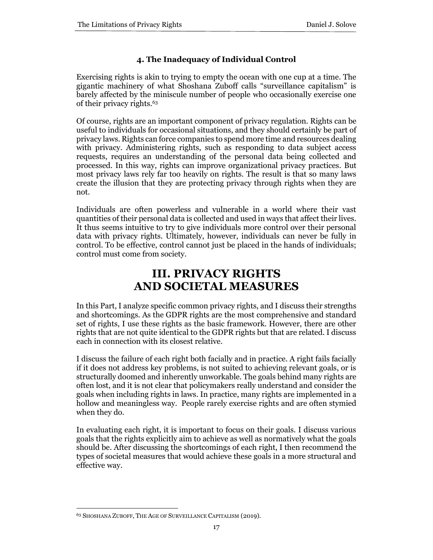# **4. The Inadequacy of Individual Control**

Exercising rights is akin to trying to empty the ocean with one cup at a time. The gigantic machinery of what Shoshana Zuboff calls "surveillance capitalism" is barely affected by the miniscule number of people who occasionally exercise one of their privacy rights.<sup>63</sup>

Of course, rights are an important component of privacy regulation. Rights can be useful to individuals for occasional situations, and they should certainly be part of privacy laws. Rights can force companies to spend more time and resources dealing with privacy. Administering rights, such as responding to data subject access requests, requires an understanding of the personal data being collected and processed. In this way, rights can improve organizational privacy practices. But most privacy laws rely far too heavily on rights. The result is that so many laws create the illusion that they are protecting privacy through rights when they are not.

Individuals are often powerless and vulnerable in a world where their vast quantities of their personal data is collected and used in ways that affect their lives. It thus seems intuitive to try to give individuals more control over their personal data with privacy rights. Ultimately, however, individuals can never be fully in control. To be effective, control cannot just be placed in the hands of individuals; control must come from society.

# **III. PRIVACY RIGHTS AND SOCIETAL MEASURES**

In this Part, I analyze specific common privacy rights, and I discuss their strengths and shortcomings. As the GDPR rights are the most comprehensive and standard set of rights, I use these rights as the basic framework. However, there are other rights that are not quite identical to the GDPR rights but that are related. I discuss each in connection with its closest relative.

I discuss the failure of each right both facially and in practice. A right fails facially if it does not address key problems, is not suited to achieving relevant goals, or is structurally doomed and inherently unworkable. The goals behind many rights are often lost, and it is not clear that policymakers really understand and consider the goals when including rights in laws. In practice, many rights are implemented in a hollow and meaningless way. People rarely exercise rights and are often stymied when they do.

In evaluating each right, it is important to focus on their goals. I discuss various goals that the rights explicitly aim to achieve as well as normatively what the goals should be. After discussing the shortcomings of each right, I then recommend the types of societal measures that would achieve these goals in a more structural and effective way.

<sup>63</sup> SHOSHANA ZUBOFF, THE AGE OF SURVEILLANCE CAPITALISM (2019).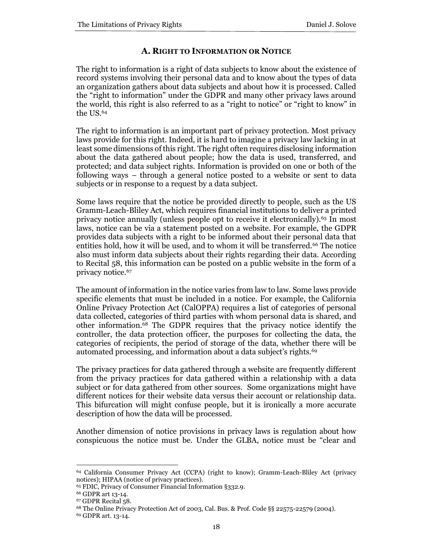# **A. RIGHT TO INFORMATION OR NOTICE**

The right to information is a right of data subjects to know about the existence of record systems involving their personal data and to know about the types of data an organization gathers about data subjects and about how it is processed. Called the "right to information" under the GDPR and many other privacy laws around the world, this right is also referred to as a "right to notice" or "right to know" in the US.<sup>64</sup>

The right to information is an important part of privacy protection. Most privacy laws provide for this right. Indeed, it is hard to imagine a privacy law lacking in at least some dimensions of this right. The right often requires disclosing information about the data gathered about people; how the data is used, transferred, and protected; and data subject rights. Information is provided on one or both of the following ways – through a general notice posted to a website or sent to data subjects or in response to a request by a data subject.

Some laws require that the notice be provided directly to people, such as the US Gramm-Leach-Bliley Act, which requires financial institutions to deliver a printed privacy notice annually (unless people opt to receive it electronically).<sup>65</sup> In most laws, notice can be via a statement posted on a website. For example, the GDPR provides data subjects with a right to be informed about their personal data that entities hold, how it will be used, and to whom it will be transferred.<sup>66</sup> The notice also must inform data subjects about their rights regarding their data. According to Recital 58, this information can be posted on a public website in the form of a privacy notice.<sup>67</sup>

The amount of information in the notice varies from law to law. Some laws provide specific elements that must be included in a notice. For example, the California Online Privacy Protection Act (CalOPPA) requires a list of categories of personal data collected, categories of third parties with whom personal data is shared, and other information.<sup>68</sup> The GDPR requires that the privacy notice identify the controller, the data protection officer, the purposes for collecting the data, the categories of recipients, the period of storage of the data, whether there will be automated processing, and information about a data subject's rights.<sup>69</sup>

The privacy practices for data gathered through a website are frequently different from the privacy practices for data gathered within a relationship with a data subject or for data gathered from other sources. Some organizations might have different notices for their website data versus their account or relationship data. This bifurcation will might confuse people, but it is ironically a more accurate description of how the data will be processed.

Another dimension of notice provisions in privacy laws is regulation about how conspicuous the notice must be. Under the GLBA, notice must be "clear and

<sup>64</sup> California Consumer Privacy Act (CCPA) (right to know); Gramm-Leach-Bliley Act (privacy notices); HIPAA (notice of privacy practices).

<sup>65</sup> FDIC, Privacy of Consumer Financial Information §332.9.

<sup>66</sup> GDPR art 13-14.

<sup>67</sup> GDPR Recital 58.

<sup>68</sup> The Online Privacy Protection Act of 2003, Cal. Bus. & Prof. Code §§ 22575-22579 (2004).

<sup>69</sup> GDPR art. 13-14.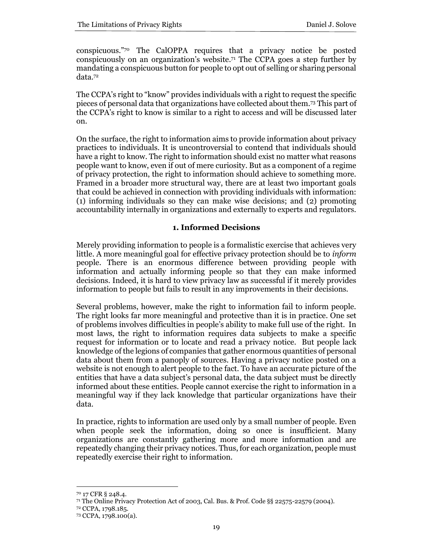conspicuous."<sup>70</sup> The CalOPPA requires that a privacy notice be posted conspicuously on an organization's website.<sup>71</sup> The CCPA goes a step further by mandating a conspicuous button for people to opt out of selling or sharing personal data.<sup>72</sup>

The CCPA's right to "know" provides individuals with a right to request the specific pieces of personal data that organizations have collected about them.<sup>73</sup> This part of the CCPA's right to know is similar to a right to access and will be discussed later on.

On the surface, the right to information aims to provide information about privacy practices to individuals. It is uncontroversial to contend that individuals should have a right to know. The right to information should exist no matter what reasons people want to know, even if out of mere curiosity. But as a component of a regime of privacy protection, the right to information should achieve to something more. Framed in a broader more structural way, there are at least two important goals that could be achieved in connection with providing individuals with information: (1) informing individuals so they can make wise decisions; and (2) promoting accountability internally in organizations and externally to experts and regulators.

# **1. Informed Decisions**

Merely providing information to people is a formalistic exercise that achieves very little. A more meaningful goal for effective privacy protection should be to *inform* people. There is an enormous difference between providing people with information and actually informing people so that they can make informed decisions. Indeed, it is hard to view privacy law as successful if it merely provides information to people but fails to result in any improvements in their decisions.

Several problems, however, make the right to information fail to inform people. The right looks far more meaningful and protective than it is in practice. One set of problems involves difficulties in people's ability to make full use of the right. In most laws, the right to information requires data subjects to make a specific request for information or to locate and read a privacy notice. But people lack knowledge of the legions of companies that gather enormous quantities of personal data about them from a panoply of sources. Having a privacy notice posted on a website is not enough to alert people to the fact. To have an accurate picture of the entities that have a data subject's personal data, the data subject must be directly informed about these entities. People cannot exercise the right to information in a meaningful way if they lack knowledge that particular organizations have their data.

In practice, rights to information are used only by a small number of people. Even when people seek the information, doing so once is insufficient. Many organizations are constantly gathering more and more information and are repeatedly changing their privacy notices. Thus, for each organization, people must repeatedly exercise their right to information.

<sup>70</sup> 17 CFR § 248.4.

<sup>71</sup> The Online Privacy Protection Act of 2003, Cal. Bus. & Prof. Code §§ 22575-22579 (2004).

<sup>72</sup> CCPA, 1798.185.

<sup>73</sup> CCPA, 1798.100(a).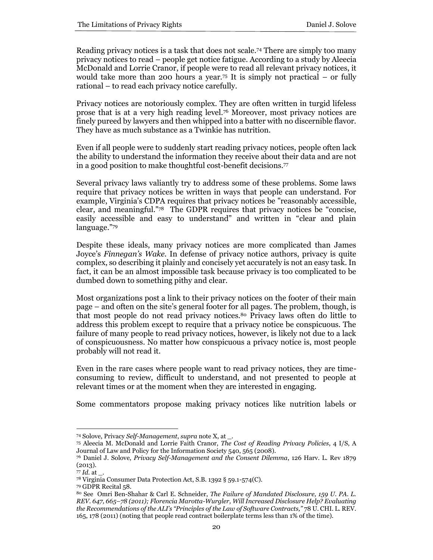Reading privacy notices is a task that does not scale.<sup>74</sup> There are simply too many privacy notices to read – people get notice fatigue. According to a study by Aleecia McDonald and Lorrie Cranor, if people were to read all relevant privacy notices, it would take more than 200 hours a year.<sup>75</sup> It is simply not practical – or fully rational – to read each privacy notice carefully.

Privacy notices are notoriously complex. They are often written in turgid lifeless prose that is at a very high reading level.<sup>76</sup> Moreover, most privacy notices are finely pureed by lawyers and then whipped into a batter with no discernible flavor. They have as much substance as a Twinkie has nutrition.

Even if all people were to suddenly start reading privacy notices, people often lack the ability to understand the information they receive about their data and are not in a good position to make thoughtful cost-benefit decisions.<sup>77</sup>

Several privacy laws valiantly try to address some of these problems. Some laws require that privacy notices be written in ways that people can understand. For example, Virginia's CDPA requires that privacy notices be "reasonably accessible, clear, and meaningful."<sup>78</sup> The GDPR requires that privacy notices be "concise, easily accessible and easy to understand" and written in "clear and plain language."<sup>79</sup>

Despite these ideals, many privacy notices are more complicated than James Joyce's *Finnegan's Wake.* In defense of privacy notice authors, privacy is quite complex, so describing it plainly and concisely yet accurately is not an easy task. In fact, it can be an almost impossible task because privacy is too complicated to be dumbed down to something pithy and clear.

Most organizations post a link to their privacy notices on the footer of their main page – and often on the site's general footer for all pages. The problem, though, is that most people do not read privacy notices.<sup>80</sup> Privacy laws often do little to address this problem except to require that a privacy notice be conspicuous. The failure of many people to read privacy notices, however, is likely not due to a lack of conspicuousness. No matter how conspicuous a privacy notice is, most people probably will not read it.

Even in the rare cases where people want to read privacy notices, they are timeconsuming to review, difficult to understand, and not presented to people at relevant times or at the moment when they are interested in engaging.

Some commentators propose making privacy notices like nutrition labels or

<sup>74</sup> Solove, Privacy *Self-Management*, *supra* note X, at \_.

<sup>75</sup> Aleecia M. McDonald and Lorrie Faith Cranor, *The Cost of Reading Privacy Policies*, 4 I/S, A Journal of Law and Policy for the Information Society 540, 565 (2008).

<sup>76</sup> Daniel J. Solove, *Privacy Self-Management and the Consent Dilemma*, 126 Harv. L. Rev 1879 (2013).

<sup>77</sup> *Id.* at \_.

<sup>78</sup> Virginia Consumer Data Protection Act, S.B. 1392 § 59.1-574(C).

<sup>79</sup> GDPR Recital 58.

<sup>80</sup> See Omri Ben-Shahar & Carl E. Schneider, *The Failure of Mandated Disclosure, 159 U. PA. L. REV. 647, 665–78 (2011); Florencia Marotta-Wurgler, Will Increased Disclosure Help? Evaluating the Recommendations of the ALI's "Principles of the Law of Software Contracts,"* 78 U. CHI. L. REV. 165, 178 (2011) (noting that people read contract boilerplate terms less than 1% of the time).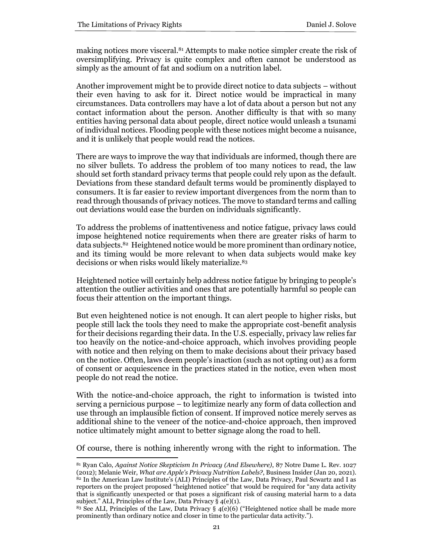making notices more visceral.<sup>81</sup> Attempts to make notice simpler create the risk of oversimplifying. Privacy is quite complex and often cannot be understood as simply as the amount of fat and sodium on a nutrition label.

Another improvement might be to provide direct notice to data subjects – without their even having to ask for it. Direct notice would be impractical in many circumstances. Data controllers may have a lot of data about a person but not any contact information about the person. Another difficulty is that with so many entities having personal data about people, direct notice would unleash a tsunami of individual notices. Flooding people with these notices might become a nuisance, and it is unlikely that people would read the notices.

There are ways to improve the way that individuals are informed, though there are no silver bullets. To address the problem of too many notices to read, the law should set forth standard privacy terms that people could rely upon as the default. Deviations from these standard default terms would be prominently displayed to consumers. It is far easier to review important divergences from the norm than to read through thousands of privacy notices. The move to standard terms and calling out deviations would ease the burden on individuals significantly.

To address the problems of inattentiveness and notice fatigue, privacy laws could impose heightened notice requirements when there are greater risks of harm to data subjects.<sup>82</sup> Heightened notice would be more prominent than ordinary notice, and its timing would be more relevant to when data subjects would make key decisions or when risks would likely materialize.<sup>83</sup>

Heightened notice will certainly help address notice fatigue by bringing to people's attention the outlier activities and ones that are potentially harmful so people can focus their attention on the important things.

But even heightened notice is not enough. It can alert people to higher risks, but people still lack the tools they need to make the appropriate cost-benefit analysis for their decisions regarding their data. In the U.S. especially, privacy law relies far too heavily on the notice-and-choice approach, which involves providing people with notice and then relying on them to make decisions about their privacy based on the notice. Often, laws deem people's inaction (such as not opting out) as a form of consent or acquiescence in the practices stated in the notice, even when most people do not read the notice.

With the notice-and-choice approach, the right to information is twisted into serving a pernicious purpose – to legitimize nearly any form of data collection and use through an implausible fiction of consent. If improved notice merely serves as additional shine to the veneer of the notice-and-choice approach, then improved notice ultimately might amount to better signage along the road to hell.

Of course, there is nothing inherently wrong with the right to information. The

<sup>81</sup> Ryan Calo, *Against Notice Skepticism In Privacy (And Elsewhere)*, 87 Notre Dame L. Rev. 1027 (2012); Melanie Weir, *What are Apple's Privacy Nutrition Labels?*, Business Insider (Jan 20, 2021). <sup>82</sup> In the American Law Institute's (ALI) Principles of the Law, Data Privacy, Paul Scwartz and I as reporters on the project proposed "heightened notice" that would be required for "any data activity that is significantly unexpected or that poses a significant risk of causing material harm to a data subject." ALI, Principles of the Law, Data Privacy  $\S$  4(e)(1).

<sup>&</sup>lt;sup>83</sup> See ALI, Principles of the Law, Data Privacy  $\S$  4(e)(6) ("Heightened notice shall be made more prominently than ordinary notice and closer in time to the particular data activity.").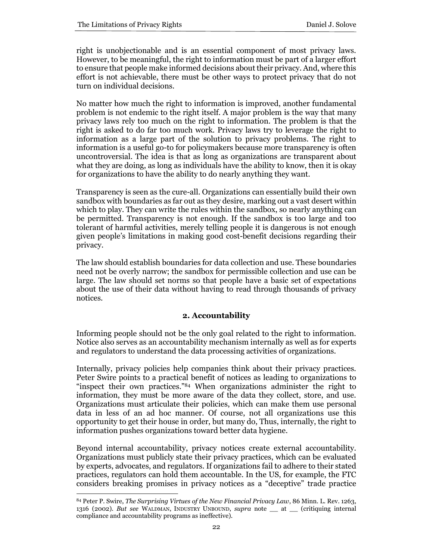right is unobjectionable and is an essential component of most privacy laws. However, to be meaningful, the right to information must be part of a larger effort to ensure that people make informed decisions about their privacy. And, where this effort is not achievable, there must be other ways to protect privacy that do not turn on individual decisions.

No matter how much the right to information is improved, another fundamental problem is not endemic to the right itself. A major problem is the way that many privacy laws rely too much on the right to information. The problem is that the right is asked to do far too much work. Privacy laws try to leverage the right to information as a large part of the solution to privacy problems. The right to information is a useful go-to for policymakers because more transparency is often uncontroversial. The idea is that as long as organizations are transparent about what they are doing, as long as individuals have the ability to know, then it is okay for organizations to have the ability to do nearly anything they want.

Transparency is seen as the cure-all. Organizations can essentially build their own sandbox with boundaries as far out as they desire, marking out a vast desert within which to play. They can write the rules within the sandbox, so nearly anything can be permitted. Transparency is not enough. If the sandbox is too large and too tolerant of harmful activities, merely telling people it is dangerous is not enough given people's limitations in making good cost-benefit decisions regarding their privacy.

The law should establish boundaries for data collection and use. These boundaries need not be overly narrow; the sandbox for permissible collection and use can be large. The law should set norms so that people have a basic set of expectations about the use of their data without having to read through thousands of privacy notices.

# **2. Accountability**

Informing people should not be the only goal related to the right to information. Notice also serves as an accountability mechanism internally as well as for experts and regulators to understand the data processing activities of organizations.

Internally, privacy policies help companies think about their privacy practices. Peter Swire points to a practical benefit of notices as leading to organizations to "inspect their own practices."<sup>84</sup> When organizations administer the right to information, they must be more aware of the data they collect, store, and use. Organizations must articulate their policies, which can make them use personal data in less of an ad hoc manner. Of course, not all organizations use this opportunity to get their house in order, but many do, Thus, internally, the right to information pushes organizations toward better data hygiene.

Beyond internal accountability, privacy notices create external accountability. Organizations must publicly state their privacy practices, which can be evaluated by experts, advocates, and regulators. If organizations fail to adhere to their stated practices, regulators can hold them accountable. In the US, for example, the FTC considers breaking promises in privacy notices as a "deceptive" trade practice

<sup>84</sup> Peter P. Swire, *The Surprising Virtues of the New Financial Privacy Law*, 86 Minn. L. Rev. 1263, 1316 (2002). *But see* WALDMAN, INDUSTRY UNBOUND, *supra* note \_\_ at \_\_ (critiquing internal compliance and accountability programs as ineffective).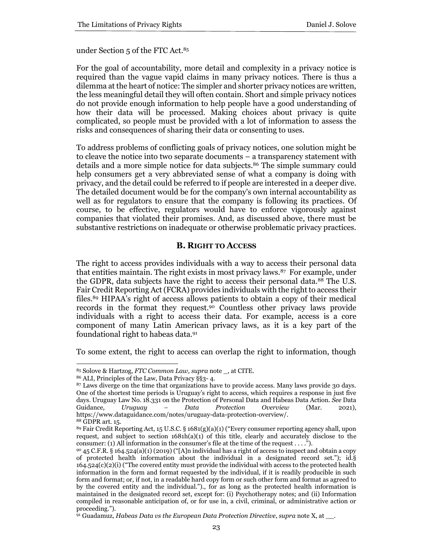under Section 5 of the FTC Act.<sup>85</sup>

For the goal of accountability, more detail and complexity in a privacy notice is required than the vague vapid claims in many privacy notices. There is thus a dilemma at the heart of notice: The simpler and shorter privacy notices are written, the less meaningful detail they will often contain. Short and simple privacy notices do not provide enough information to help people have a good understanding of how their data will be processed. Making choices about privacy is quite complicated, so people must be provided with a lot of information to assess the risks and consequences of sharing their data or consenting to uses.

To address problems of conflicting goals of privacy notices, one solution might be to cleave the notice into two separate documents – a transparency statement with details and a more simple notice for data subjects.<sup>86</sup> The simple summary could help consumers get a very abbreviated sense of what a company is doing with privacy, and the detail could be referred to if people are interested in a deeper dive. The detailed document would be for the company's own internal accountability as well as for regulators to ensure that the company is following its practices. Of course, to be effective, regulators would have to enforce vigorously against companies that violated their promises. And, as discussed above, there must be substantive restrictions on inadequate or otherwise problematic privacy practices.

# **B. RIGHT TO ACCESS**

The right to access provides individuals with a way to access their personal data that entities maintain. The right exists in most privacy laws.<sup>87</sup> For example, under the GDPR, data subjects have the right to access their personal data.<sup>88</sup> The U.S. Fair Credit Reporting Act (FCRA) provides individuals with the right to access their files.<sup>89</sup> HIPAA's right of access allows patients to obtain a copy of their medical records in the format they request.<sup>90</sup> Countless other privacy laws provide individuals with a right to access their data. For example, access is a core component of many Latin American privacy laws, as it is a key part of the foundational right to habeas data.<sup>91</sup>

To some extent, the right to access can overlap the right to information, though

<sup>86</sup> ALI, Principles of the Law, Data Privacy §§3- 4.

<sup>85</sup> Solove & Hartzog, *FTC Common Law, supra* note \_, at CITE.

<sup>87</sup> Laws diverge on the time that organizations have to provide access. Many laws provide 30 days. One of the shortest time periods is Uruguay's right to access, which requires a response in just five days. Uruguay Law No. 18.331 on the Protection of Personal Data and Habeas Data Action. *See* Data Guidance, *Uruguay – Data Protection Overview* (Mar. 2021), https://www.dataguidance.com/notes/uruguay-data-protection-overview/.

<sup>88</sup> GDPR art. 15.

<sup>89</sup> Fair Credit Reporting Act, 15 U.S.C. § 1681(g)(a)(1) ("Every consumer reporting agency shall, upon request, and subject to section  $1681h(a)(1)$  of this title, clearly and accurately disclose to the consumer: (1) All information in the consumer's file at the time of the request . . . .").

<sup>90</sup> 45 C.F.R. § 164.524(a)(1) (2019) ("[A]n individual has a right of access to inspect and obtain a copy of protected health information about the individual in a designated record set."); id.§  $164.524(c)(2)(i)$  ("The covered entity must provide the individual with access to the protected health information in the form and format requested by the individual, if it is readily producible in such form and format; or, if not, in a readable hard copy form or such other form and format as agreed to by the covered entity and the individual.")., for as long as the protected health information is maintained in the designated record set, except for: (i) Psychotherapy notes; and (ii) Information compiled in reasonable anticipation of, or for use in, a civil, criminal, or administrative action or proceeding.").

<sup>91</sup> Guadamuz, *Habeas Data vs the European Data Protection Directive*, *supra* note X, at \_\_.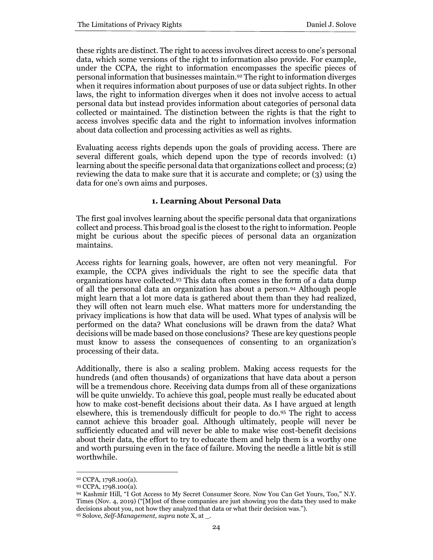these rights are distinct. The right to access involves direct access to one's personal data, which some versions of the right to information also provide. For example, under the CCPA, the right to information encompasses the specific pieces of personal information that businesses maintain.<sup>92</sup> The right to information diverges when it requires information about purposes of use or data subject rights. In other laws, the right to information diverges when it does not involve access to actual personal data but instead provides information about categories of personal data collected or maintained. The distinction between the rights is that the right to access involves specific data and the right to information involves information about data collection and processing activities as well as rights.

Evaluating access rights depends upon the goals of providing access. There are several different goals, which depend upon the type of records involved: (1) learning about the specific personal data that organizations collect and process; (2) reviewing the data to make sure that it is accurate and complete; or (3) using the data for one's own aims and purposes.

# **1. Learning About Personal Data**

The first goal involves learning about the specific personal data that organizations collect and process. This broad goal is the closest to the right to information. People might be curious about the specific pieces of personal data an organization maintains.

Access rights for learning goals, however, are often not very meaningful. For example, the CCPA gives individuals the right to see the specific data that organizations have collected.<sup>93</sup> This data often comes in the form of a data dump of all the personal data an organization has about a person.<sup>94</sup> Although people might learn that a lot more data is gathered about them than they had realized, they will often not learn much else. What matters more for understanding the privacy implications is how that data will be used. What types of analysis will be performed on the data? What conclusions will be drawn from the data? What decisions will be made based on those conclusions? These are key questions people must know to assess the consequences of consenting to an organization's processing of their data.

Additionally, there is also a scaling problem. Making access requests for the hundreds (and often thousands) of organizations that have data about a person will be a tremendous chore. Receiving data dumps from all of these organizations will be quite unwieldy. To achieve this goal, people must really be educated about how to make cost-benefit decisions about their data. As I have argued at length elsewhere, this is tremendously difficult for people to do.<sup>95</sup> The right to access cannot achieve this broader goal. Although ultimately, people will never be sufficiently educated and will never be able to make wise cost-benefit decisions about their data, the effort to try to educate them and help them is a worthy one and worth pursuing even in the face of failure. Moving the needle a little bit is still worthwhile.

<sup>92</sup> CCPA, 1798.100(a).

<sup>93</sup> CCPA, 1798.100(a).

<sup>94</sup> Kashmir Hill, "I Got Access to My Secret Consumer Score. Now You Can Get Yours, Too," N.Y. Times (Nov. 4, 2019) ("[M]ost of these companies are just showing you the data they used to make decisions about you, not how they analyzed that data or what their decision was.").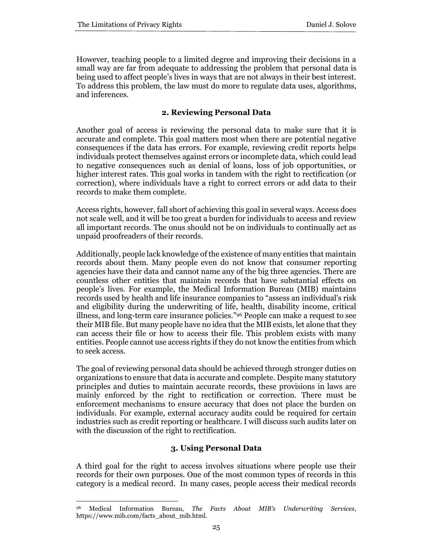However, teaching people to a limited degree and improving their decisions in a small way are far from adequate to addressing the problem that personal data is being used to affect people's lives in ways that are not always in their best interest. To address this problem, the law must do more to regulate data uses, algorithms, and inferences.

# **2. Reviewing Personal Data**

Another goal of access is reviewing the personal data to make sure that it is accurate and complete. This goal matters most when there are potential negative consequences if the data has errors. For example, reviewing credit reports helps individuals protect themselves against errors or incomplete data, which could lead to negative consequences such as denial of loans, loss of job opportunities, or higher interest rates. This goal works in tandem with the right to rectification (or correction), where individuals have a right to correct errors or add data to their records to make them complete.

Access rights, however, fall short of achieving this goal in several ways. Access does not scale well, and it will be too great a burden for individuals to access and review all important records. The onus should not be on individuals to continually act as unpaid proofreaders of their records.

Additionally, people lack knowledge of the existence of many entities that maintain records about them. Many people even do not know that consumer reporting agencies have their data and cannot name any of the big three agencies. There are countless other entities that maintain records that have substantial effects on people's lives. For example, the Medical Information Bureau (MIB) maintains records used by health and life insurance companies to "assess an individual's risk and eligibility during the underwriting of life, health, disability income, critical illness, and long-term care insurance policies."<sup>96</sup> People can make a request to see their MIB file. But many people have no idea that the MIB exists, let alone that they can access their file or how to access their file. This problem exists with many entities. People cannot use access rights if they do not know the entities from which to seek access.

The goal of reviewing personal data should be achieved through stronger duties on organizations to ensure that data is accurate and complete. Despite many statutory principles and duties to maintain accurate records, these provisions in laws are mainly enforced by the right to rectification or correction. There must be enforcement mechanisms to ensure accuracy that does not place the burden on individuals. For example, external accuracy audits could be required for certain industries such as credit reporting or healthcare. I will discuss such audits later on with the discussion of the right to rectification.

# **3. Using Personal Data**

A third goal for the right to access involves situations where people use their records for their own purposes. One of the most common types of records in this category is a medical record. In many cases, people access their medical records

<sup>96</sup> Medical Information Bureau, *The Facts About MIB's Underwriting Services*, https://www.mib.com/facts\_about\_mib.html.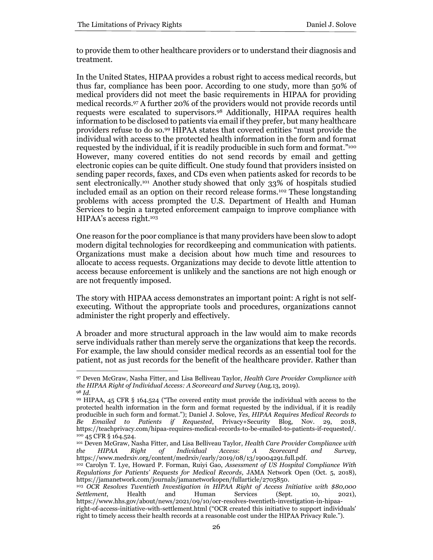to provide them to other healthcare providers or to understand their diagnosis and treatment.

In the United States, HIPAA provides a robust right to access medical records, but thus far, compliance has been poor. According to one study, more than 50% of medical providers did not meet the basic requirements in HIPAA for providing medical records.<sup>97</sup> A further 20% of the providers would not provide records until requests were escalated to supervisors.<sup>98</sup> Additionally, HIPAA requires health information to be disclosed to patients via email if they prefer, but many healthcare providers refuse to do so.<sup>99</sup> HIPAA states that covered entities "must provide the individual with access to the protected health information in the form and format requested by the individual, if it is readily producible in such form and format." 100 However, many covered entities do not send records by email and getting electronic copies can be quite difficult. One study found that providers insisted on sending paper records, faxes, and CDs even when patients asked for records to be sent electronically.<sup>101</sup> Another study showed that only 33% of hospitals studied included email as an option on their record release forms.<sup>102</sup> These longstanding problems with access prompted the U.S. Department of Health and Human Services to begin a targeted enforcement campaign to improve compliance with HIPAA's access right.<sup>103</sup>

One reason for the poor compliance is that many providers have been slow to adopt modern digital technologies for recordkeeping and communication with patients. Organizations must make a decision about how much time and resources to allocate to access requests. Organizations may decide to devote little attention to access because enforcement is unlikely and the sanctions are not high enough or are not frequently imposed.

The story with HIPAA access demonstrates an important point: A right is not selfexecuting. Without the appropriate tools and procedures, organizations cannot administer the right properly and effectively.

A broader and more structural approach in the law would aim to make records serve individuals rather than merely serve the organizations that keep the records. For example, the law should consider medical records as an essential tool for the patient, not as just records for the benefit of the healthcare provider. Rather than

<sup>97</sup> Deven McGraw, Nasha Fitter, and Lisa Belliveau Taylor, *Health Care Provider Compliance with the HIPAA Right of Individual Access: A Scorecard and Survey* (Aug.13, 2019). <sup>98</sup> *Id.*

<sup>99</sup> HIPAA, 45 CFR § 164.524 ("The covered entity must provide the individual with access to the protected health information in the form and format requested by the individual, if it is readily producible in such form and format."); Daniel J. Solove, *Yes, HIPAA Requires Medical Records to Be Emailed to Patients if Requested*, Privacy+Security Blog, Nov. 29, 2018, https://teachprivacy.com/hipaa-requires-medical-records-to-be-emailed-to-patients-if-requested/. <sup>100</sup> 45 CFR § 164.524.

<sup>101</sup> Deven McGraw, Nasha Fitter, and Lisa Belliveau Taylor, *Health Care Provider Compliance with the HIPAA Right of Individual Access*: *A Scorecard and Survey*, https://www.medrxiv.org/content/medrxiv/early/2019/08/13/19004291.full.pdf.

<sup>102</sup> Carolyn T. Lye, Howard P. Forman, Ruiyi Gao, *Assessment of US Hospital Compliance With Regulations for Patients' Requests for Medical Records,* JAMA Network Open (Oct. 5, 2018), https://jamanetwork.com/journals/jamanetworkopen/fullarticle/2705850.

<sup>103</sup> *OCR Resolves Twentieth Investigation in HIPAA Right of Access Initiative with \$80,000 Settlement*, Health and Human Services (Sept. 10, 2021), https://www.hhs.gov/about/news/2021/09/10/ocr-resolves-twentieth-investigation-in-hipaaright-of-access-initiative-with-settlement.html ("OCR created this initiative to support individuals' right to timely access their health records at a reasonable cost under the HIPAA Privacy Rule.").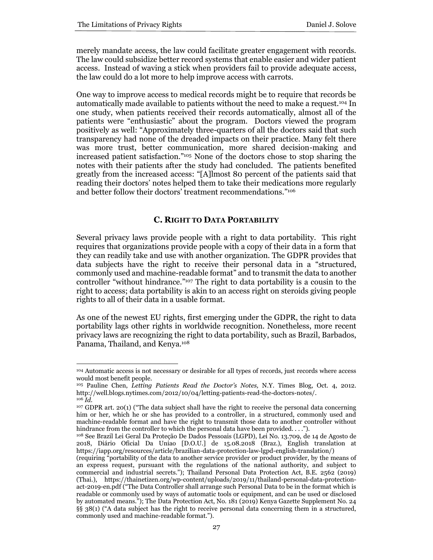merely mandate access, the law could facilitate greater engagement with records. The law could subsidize better record systems that enable easier and wider patient access. Instead of waving a stick when providers fail to provide adequate access, the law could do a lot more to help improve access with carrots.

One way to improve access to medical records might be to require that records be automatically made available to patients without the need to make a request.<sup>104</sup> In one study, when patients received their records automatically, almost all of the patients were "enthusiastic" about the program. Doctors viewed the program positively as well: "Approximately three-quarters of all the doctors said that such transparency had none of the dreaded impacts on their practice. Many felt there was more trust, better communication, more shared decision-making and increased patient satisfaction." <sup>105</sup> None of the doctors chose to stop sharing the notes with their patients after the study had concluded. The patients benefited greatly from the increased access: "[A]lmost 80 percent of the patients said that reading their doctors' notes helped them to take their medications more regularly and better follow their doctors' treatment recommendations." 106

# **C. RIGHT TO DATA PORTABILITY**

Several privacy laws provide people with a right to data portability. This right requires that organizations provide people with a copy of their data in a form that they can readily take and use with another organization. The GDPR provides that data subjects have the right to receive their personal data in a "structured, commonly used and machine-readable format" and to transmit the data to another controller "without hindrance." <sup>107</sup> The right to data portability is a cousin to the right to access; data portability is akin to an access right on steroids giving people rights to all of their data in a usable format.

As one of the newest EU rights, first emerging under the GDPR, the right to data portability lags other rights in worldwide recognition. Nonetheless, more recent privacy laws are recognizing the right to data portability, such as Brazil, Barbados, Panama, Thailand, and Kenya.<sup>108</sup>

<sup>104</sup> Automatic access is not necessary or desirable for all types of records, just records where access would most benefit people.

<sup>105</sup> Pauline Chen, *Letting Patients Read the Doctor's Notes,* N.Y. Times Blog, Oct. 4, 2012. http://well.blogs.nytimes.com/2012/10/04/letting-patients-read-the-doctors-notes/. <sup>106</sup> *Id.*

<sup>107</sup> GDPR art. 20(1) ("The data subject shall have the right to receive the personal data concerning him or her, which he or she has provided to a controller, in a structured, commonly used and machine-readable format and have the right to transmit those data to another controller without hindrance from the controller to which the personal data have been provided. . . .").

<sup>108</sup> See Brazil Lei Geral Da Proteção De Dados Pessoais (LGPD), Lei No. 13.709, de 14 de Agosto de 2018, Diário Oficial Da Uniao [D.O.U.] de 15.08.2018 (Braz.), English translation at https://iapp.org/resources/article/brazilian-data-protection-law-lgpd-english-translation/)

<sup>(</sup>requiring "portability of the data to another service provider or product provider, by the means of an express request, pursuant with the regulations of the national authority, and subject to commercial and industrial secrets."); Thailand Personal Data Protection Act, B.E. 2562 (2019) (Thai.), https://thainetizen.org/wp-content/uploads/2019/11/thailand-personal-data-protectionact-2019-en.pdf ("The Data Controller shall arrange such Personal Data to be in the format which is readable or commonly used by ways of automatic tools or equipment, and can be used or disclosed by automated means."); The Data Protection Act, No. 181 (2019) Kenya Gazette Supplement No. 24 §§ 38(1) ("A data subject has the right to receive personal data concerning them in a structured, commonly used and machine-readable format.").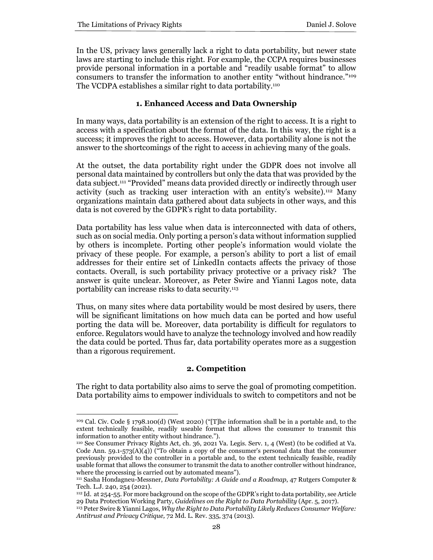In the US, privacy laws generally lack a right to data portability, but newer state laws are starting to include this right. For example, the CCPA requires businesses provide personal information in a portable and "readily usable format" to allow consumers to transfer the information to another entity "without hindrance."<sup>109</sup> The VCDPA establishes a similar right to data portability.<sup>110</sup>

#### **1. Enhanced Access and Data Ownership**

In many ways, data portability is an extension of the right to access. It is a right to access with a specification about the format of the data. In this way, the right is a success; it improves the right to access. However, data portability alone is not the answer to the shortcomings of the right to access in achieving many of the goals.

At the outset, the data portability right under the GDPR does not involve all personal data maintained by controllers but only the data that was provided by the data subject.<sup>111</sup> "Provided" means data provided directly or indirectly through user activity (such as tracking user interaction with an entity's website).<sup>112</sup> Many organizations maintain data gathered about data subjects in other ways, and this data is not covered by the GDPR's right to data portability.

Data portability has less value when data is interconnected with data of others, such as on social media. Only porting a person's data without information supplied by others is incomplete. Porting other people's information would violate the privacy of these people. For example, a person's ability to port a list of email addresses for their entire set of LinkedIn contacts affects the privacy of those contacts. Overall, is such portability privacy protective or a privacy risk? The answer is quite unclear. Moreover, as Peter Swire and Yianni Lagos note, data portability can increase risks to data security.<sup>113</sup>

Thus, on many sites where data portability would be most desired by users, there will be significant limitations on how much data can be ported and how useful porting the data will be. Moreover, data portability is difficult for regulators to enforce. Regulators would have to analyze the technology involved and how readily the data could be ported. Thus far, data portability operates more as a suggestion than a rigorous requirement.

#### **2. Competition**

The right to data portability also aims to serve the goal of promoting competition. Data portability aims to empower individuals to switch to competitors and not be

<sup>109</sup> Cal. Civ. Code § 1798.100(d) (West 2020) ("[T]he information shall be in a portable and, to the extent technically feasible, readily useable format that allows the consumer to transmit this information to another entity without hindrance.").

<sup>110</sup> See Consumer Privacy Rights Act, ch. 36, 2021 Va. Legis. Serv. 1, 4 (West) (to be codified at Va. Code Ann. 59.1-573(A)( $\ddot{4}$ )) ("To obtain a copy of the consumer's personal data that the consumer previously provided to the controller in a portable and, to the extent technically feasible, readily usable format that allows the consumer to transmit the data to another controller without hindrance, where the processing is carried out by automated means").

<sup>111</sup> Sasha Hondagneu-Messner, *Data Portability: A Guide and a Roadmap*, 47 Rutgers Computer & Tech. L.J. 240, 254 (2021).

<sup>&</sup>lt;sup>112</sup> Id. at 254-55. For more background on the scope of the GDPR's right to data portability, see Article 29 Data Protection Working Party, *Guidelines on the Right to Data Portability* (Apr. 5, 2017).

<sup>113</sup> Peter Swire & Yianni Lagos, *Why the Right to Data Portability Likely Reduces Consumer Welfare: Antitrust and Privacy Critique,* 72 Md. L. Rev. 335, 374 (2013).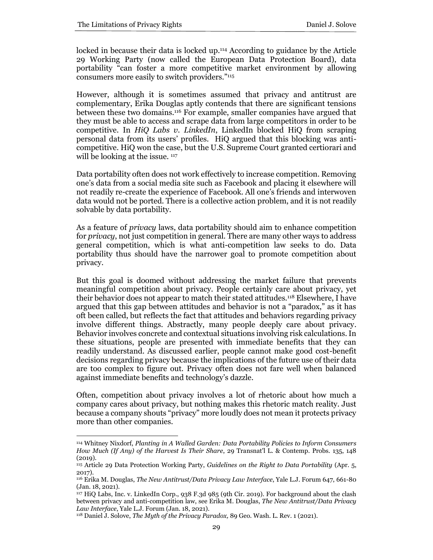locked in because their data is locked up.<sup>114</sup> According to guidance by the Article 29 Working Party (now called the European Data Protection Board), data portability "can foster a more competitive market environment by allowing consumers more easily to switch providers."<sup>115</sup>

However, although it is sometimes assumed that privacy and antitrust are complementary, Erika Douglas aptly contends that there are significant tensions between these two domains.<sup>116</sup> For example, smaller companies have argued that they must be able to access and scrape data from large competitors in order to be competitive. In *HiQ Labs v. LinkedIn*, LinkedIn blocked HiQ from scraping personal data from its users' profiles. HiQ argued that this blocking was anticompetitive. HiQ won the case, but the U.S. Supreme Court granted certiorari and will be looking at the issue.  $117$ 

Data portability often does not work effectively to increase competition. Removing one's data from a social media site such as Facebook and placing it elsewhere will not readily re-create the experience of Facebook. All one's friends and interwoven data would not be ported. There is a collective action problem, and it is not readily solvable by data portability.

As a feature of *privacy* laws, data portability should aim to enhance competition for *privacy*, not just competition in general. There are many other ways to address general competition, which is what anti-competition law seeks to do. Data portability thus should have the narrower goal to promote competition about privacy.

But this goal is doomed without addressing the market failure that prevents meaningful competition about privacy. People certainly care about privacy, yet their behavior does not appear to match their stated attitudes.<sup>118</sup> Elsewhere, I have argued that this gap between attitudes and behavior is not a "paradox," as it has oft been called, but reflects the fact that attitudes and behaviors regarding privacy involve different things. Abstractly, many people deeply care about privacy. Behavior involves concrete and contextual situations involving risk calculations. In these situations, people are presented with immediate benefits that they can readily understand. As discussed earlier, people cannot make good cost-benefit decisions regarding privacy because the implications of the future use of their data are too complex to figure out. Privacy often does not fare well when balanced against immediate benefits and technology's dazzle.

Often, competition about privacy involves a lot of rhetoric about how much a company cares about privacy, but nothing makes this rhetoric match reality. Just because a company shouts "privacy" more loudly does not mean it protects privacy more than other companies.

<sup>114</sup> Whitney Nixdorf, *Planting in A Walled Garden: Data Portability Policies to Inform Consumers How Much (If Any) of the Harvest Is Their Share*, 29 Transnat'l L. & Contemp. Probs. 135, 148 (2019).

<sup>115</sup> Article 29 Data Protection Working Party, *Guidelines on the Right to Data Portability* (Apr. 5, 2017).

<sup>116</sup> Erika M. Douglas, *The New Antitrust/Data Privacy Law Interface*, Yale L.J. Forum 647, 661-80 (Jan. 18, 2021).

<sup>117</sup> HiQ Labs, Inc. v. LinkedIn Corp., 938 F.3d 985 (9th Cir. 2019). For background about the clash between privacy and anti-competition law, see Erika M. Douglas, *The New Antitrust/Data Privacy Law Interface*, Yale L.J. Forum (Jan. 18, 2021).

<sup>118</sup> Daniel J. Solove, *The Myth of the Privacy Paradox,* 89 Geo. Wash. L. Rev. 1 (2021).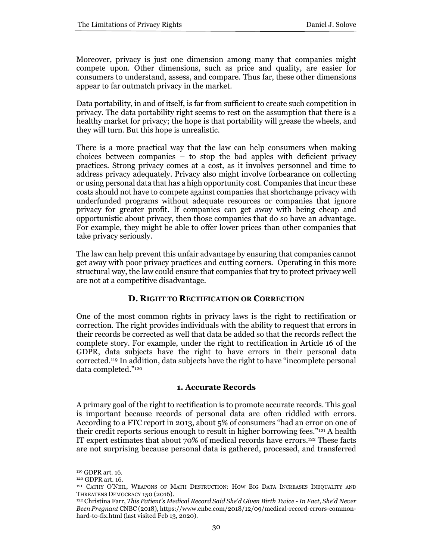Moreover, privacy is just one dimension among many that companies might compete upon. Other dimensions, such as price and quality, are easier for consumers to understand, assess, and compare. Thus far, these other dimensions appear to far outmatch privacy in the market.

Data portability, in and of itself, is far from sufficient to create such competition in privacy. The data portability right seems to rest on the assumption that there is a healthy market for privacy; the hope is that portability will grease the wheels, and they will turn. But this hope is unrealistic.

There is a more practical way that the law can help consumers when making choices between companies – to stop the bad apples with deficient privacy practices. Strong privacy comes at a cost, as it involves personnel and time to address privacy adequately. Privacy also might involve forbearance on collecting or using personal data that has a high opportunity cost. Companies that incur these costs should not have to compete against companies that shortchange privacy with underfunded programs without adequate resources or companies that ignore privacy for greater profit. If companies can get away with being cheap and opportunistic about privacy, then those companies that do so have an advantage. For example, they might be able to offer lower prices than other companies that take privacy seriously.

The law can help prevent this unfair advantage by ensuring that companies cannot get away with poor privacy practices and cutting corners. Operating in this more structural way, the law could ensure that companies that try to protect privacy well are not at a competitive disadvantage.

# **D. RIGHT TO RECTIFICATION OR CORRECTION**

One of the most common rights in privacy laws is the right to rectification or correction. The right provides individuals with the ability to request that errors in their records be corrected as well that data be added so that the records reflect the complete story. For example, under the right to rectification in Article 16 of the GDPR, data subjects have the right to have errors in their personal data corrected. <sup>119</sup> In addition, data subjects have the right to have "incomplete personal data completed."<sup>120</sup>

# **1. Accurate Records**

A primary goal of the right to rectification is to promote accurate records. This goal is important because records of personal data are often riddled with errors. According to a FTC report in 2013, about 5% of consumers "had an error on one of their credit reports serious enough to result in higher borrowing fees."<sup>121</sup> A health IT expert estimates that about 70% of medical records have errors.<sup>122</sup> These facts are not surprising because personal data is gathered, processed, and transferred

<sup>119</sup> GDPR art. 16.

<sup>120</sup> GDPR art. 16.

<sup>121</sup> CATHY O'NEIL, WEAPONS OF MATH DESTRUCTION: HOW BIG DATA INCREASES INEQUALITY AND THREATENS DEMOCRACY 150 (2016).

<sup>122</sup> Christina Farr, *This Patient's Medical Record Said She'd Given Birth Twice - In Fact, She'd Never Been Pregnant* CNBC (2018), https://www.cnbc.com/2018/12/09/medical-record-errors-commonhard-to-fix.html (last visited Feb 13, 2020).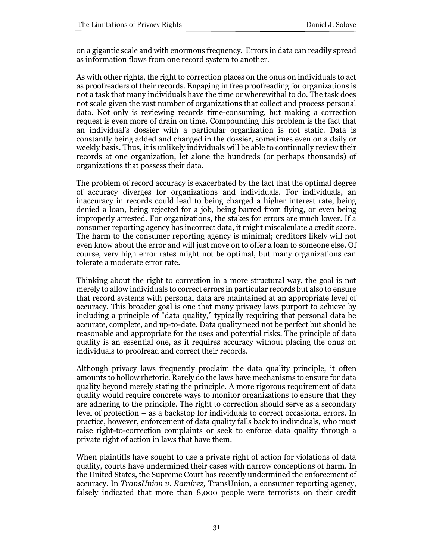on a gigantic scale and with enormous frequency. Errors in data can readily spread as information flows from one record system to another.

As with other rights, the right to correction places on the onus on individuals to act as proofreaders of their records. Engaging in free proofreading for organizations is not a task that many individuals have the time or wherewithal to do. The task does not scale given the vast number of organizations that collect and process personal data. Not only is reviewing records time-consuming, but making a correction request is even more of drain on time. Compounding this problem is the fact that an individual's dossier with a particular organization is not static. Data is constantly being added and changed in the dossier, sometimes even on a daily or weekly basis. Thus, it is unlikely individuals will be able to continually review their records at one organization, let alone the hundreds (or perhaps thousands) of organizations that possess their data.

The problem of record accuracy is exacerbated by the fact that the optimal degree of accuracy diverges for organizations and individuals. For individuals, an inaccuracy in records could lead to being charged a higher interest rate, being denied a loan, being rejected for a job, being barred from flying, or even being improperly arrested. For organizations, the stakes for errors are much lower. If a consumer reporting agency has incorrect data, it might miscalculate a credit score. The harm to the consumer reporting agency is minimal; creditors likely will not even know about the error and will just move on to offer a loan to someone else. Of course, very high error rates might not be optimal, but many organizations can tolerate a moderate error rate.

Thinking about the right to correction in a more structural way, the goal is not merely to allow individuals to correct errors in particular records but also to ensure that record systems with personal data are maintained at an appropriate level of accuracy. This broader goal is one that many privacy laws purport to achieve by including a principle of "data quality," typically requiring that personal data be accurate, complete, and up-to-date. Data quality need not be perfect but should be reasonable and appropriate for the uses and potential risks. The principle of data quality is an essential one, as it requires accuracy without placing the onus on individuals to proofread and correct their records.

Although privacy laws frequently proclaim the data quality principle, it often amounts to hollow rhetoric. Rarely do the laws have mechanisms to ensure for data quality beyond merely stating the principle. A more rigorous requirement of data quality would require concrete ways to monitor organizations to ensure that they are adhering to the principle. The right to correction should serve as a secondary level of protection – as a backstop for individuals to correct occasional errors. In practice, however, enforcement of data quality falls back to individuals, who must raise right-to-correction complaints or seek to enforce data quality through a private right of action in laws that have them.

When plaintiffs have sought to use a private right of action for violations of data quality, courts have undermined their cases with narrow conceptions of harm. In the United States, the Supreme Court has recently undermined the enforcement of accuracy. In *TransUnion v. Ramirez,* TransUnion, a consumer reporting agency, falsely indicated that more than 8,000 people were terrorists on their credit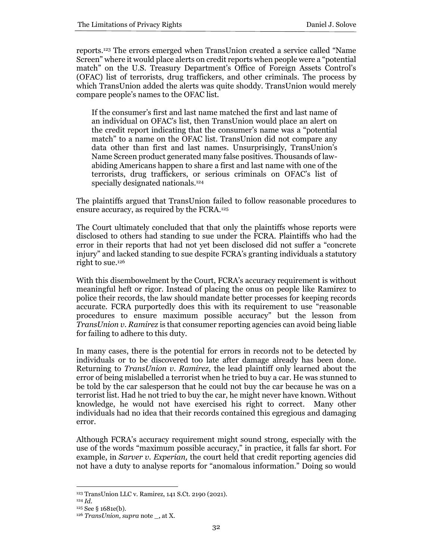reports.<sup>123</sup> The errors emerged when TransUnion created a service called "Name Screen" where it would place alerts on credit reports when people were a "potential match" on the U.S. Treasury Department's Office of Foreign Assets Control's (OFAC) list of terrorists, drug traffickers, and other criminals. The process by which TransUnion added the alerts was quite shoddy. TransUnion would merely compare people's names to the OFAC list.

If the consumer's first and last name matched the first and last name of an individual on OFAC's list, then TransUnion would place an alert on the credit report indicating that the consumer's name was a "potential match" to a name on the OFAC list. TransUnion did not compare any data other than first and last names. Unsurprisingly, TransUnion's Name Screen product generated many false positives. Thousands of lawabiding Americans happen to share a first and last name with one of the terrorists, drug traffickers, or serious criminals on OFAC's list of specially designated nationals.<sup>124</sup>

The plaintiffs argued that TransUnion failed to follow reasonable procedures to ensure accuracy, as required by the FCRA.<sup>125</sup>

The Court ultimately concluded that that only the plaintiffs whose reports were disclosed to others had standing to sue under the FCRA. Plaintiffs who had the error in their reports that had not yet been disclosed did not suffer a "concrete injury" and lacked standing to sue despite FCRA's granting individuals a statutory right to sue.<sup>126</sup>

With this disembowelment by the Court, FCRA's accuracy requirement is without meaningful heft or rigor. Instead of placing the onus on people like Ramirez to police their records, the law should mandate better processes for keeping records accurate. FCRA purportedly does this with its requirement to use "reasonable procedures to ensure maximum possible accuracy" but the lesson from *TransUnion v. Ramirez* is that consumer reporting agencies can avoid being liable for failing to adhere to this duty.

In many cases, there is the potential for errors in records not to be detected by individuals or to be discovered too late after damage already has been done. Returning to *TransUnion v. Ramirez,* the lead plaintiff only learned about the error of being mislabelled a terrorist when he tried to buy a car. He was stunned to be told by the car salesperson that he could not buy the car because he was on a terrorist list. Had he not tried to buy the car, he might never have known. Without knowledge, he would not have exercised his right to correct. Many other individuals had no idea that their records contained this egregious and damaging error.

Although FCRA's accuracy requirement might sound strong, especially with the use of the words "maximum possible accuracy," in practice, it falls far short. For example, in *Sarver v. Experian,* the court held that credit reporting agencies did not have a duty to analyse reports for "anomalous information." Doing so would

<sup>123</sup> TransUnion LLC v. Ramirez, 141 S.Ct. 2190 (2021).

<sup>124</sup> *Id.*

<sup>125</sup> See § 1681e(b).

<sup>126</sup> *TransUnion, supra* note \_, at X.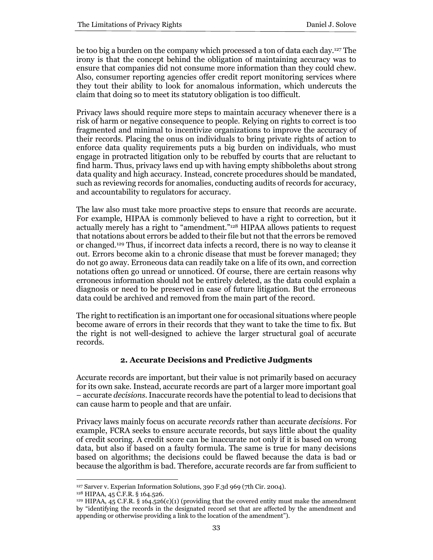be too big a burden on the company which processed a ton of data each day.<sup>127</sup> The irony is that the concept behind the obligation of maintaining accuracy was to ensure that companies did not consume more information than they could chew. Also, consumer reporting agencies offer credit report monitoring services where they tout their ability to look for anomalous information, which undercuts the claim that doing so to meet its statutory obligation is too difficult.

Privacy laws should require more steps to maintain accuracy whenever there is a risk of harm or negative consequence to people. Relying on rights to correct is too fragmented and minimal to incentivize organizations to improve the accuracy of their records. Placing the onus on individuals to bring private rights of action to enforce data quality requirements puts a big burden on individuals, who must engage in protracted litigation only to be rebuffed by courts that are reluctant to find harm. Thus, privacy laws end up with having empty shibboleths about strong data quality and high accuracy. Instead, concrete procedures should be mandated, such as reviewing records for anomalies, conducting audits of records for accuracy, and accountability to regulators for accuracy.

The law also must take more proactive steps to ensure that records are accurate. For example, HIPAA is commonly believed to have a right to correction, but it actually merely has a right to "amendment."<sup>128</sup> HIPAA allows patients to request that notations about errors be added to their file but not that the errors be removed or changed.<sup>129</sup> Thus, if incorrect data infects a record, there is no way to cleanse it out. Errors become akin to a chronic disease that must be forever managed; they do not go away. Erroneous data can readily take on a life of its own, and correction notations often go unread or unnoticed. Of course, there are certain reasons why erroneous information should not be entirely deleted, as the data could explain a diagnosis or need to be preserved in case of future litigation. But the erroneous data could be archived and removed from the main part of the record.

The right to rectification is an important one for occasional situations where people become aware of errors in their records that they want to take the time to fix. But the right is not well-designed to achieve the larger structural goal of accurate records.

# **2. Accurate Decisions and Predictive Judgments**

Accurate records are important, but their value is not primarily based on accuracy for its own sake. Instead, accurate records are part of a larger more important goal – accurate *decisions.* Inaccurate records have the potential to lead to decisions that can cause harm to people and that are unfair.

Privacy laws mainly focus on accurate *records* rather than accurate *decisions*. For example, FCRA seeks to ensure accurate records, but says little about the quality of credit scoring. A credit score can be inaccurate not only if it is based on wrong data, but also if based on a faulty formula. The same is true for many decisions based on algorithms; the decisions could be flawed because the data is bad or because the algorithm is bad. Therefore, accurate records are far from sufficient to

<sup>127</sup> Sarver v. Experian Information Solutions, 390 F.3d 969 (7th Cir. 2004).

<sup>128</sup> HIPAA, 45 C.F.R. § 164.526.

<sup>&</sup>lt;sup>129</sup> HIPAA, 45 C.F.R. § 164.526(c)(1) (providing that the covered entity must make the amendment by "identifying the records in the designated record set that are affected by the amendment and appending or otherwise providing a link to the location of the amendment").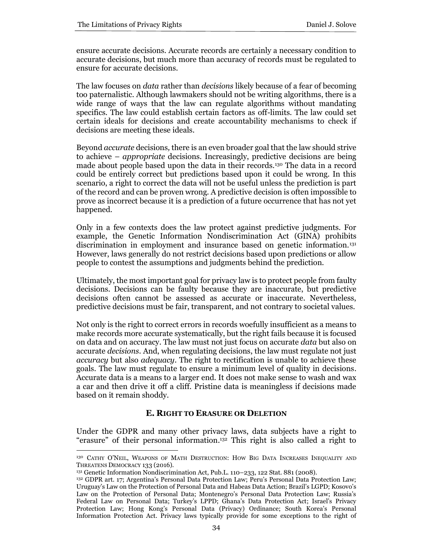ensure accurate decisions. Accurate records are certainly a necessary condition to accurate decisions, but much more than accuracy of records must be regulated to ensure for accurate decisions.

The law focuses on *data* rather than *decisions* likely because of a fear of becoming too paternalistic. Although lawmakers should not be writing algorithms, there is a wide range of ways that the law can regulate algorithms without mandating specifics. The law could establish certain factors as off-limits. The law could set certain ideals for decisions and create accountability mechanisms to check if decisions are meeting these ideals.

Beyond *accurate* decisions*,* there is an even broader goal that the law should strive to achieve – *appropriate* decisions. Increasingly, predictive decisions are being made about people based upon the data in their records.<sup>130</sup> The data in a record could be entirely correct but predictions based upon it could be wrong. In this scenario, a right to correct the data will not be useful unless the prediction is part of the record and can be proven wrong. A predictive decision is often impossible to prove as incorrect because it is a prediction of a future occurrence that has not yet happened.

Only in a few contexts does the law protect against predictive judgments. For example, the Genetic Information Nondiscrimination Act (GINA) prohibits discrimination in employment and insurance based on genetic information.<sup>131</sup> However, laws generally do not restrict decisions based upon predictions or allow people to contest the assumptions and judgments behind the prediction.

Ultimately, the most important goal for privacy law is to protect people from faulty decisions. Decisions can be faulty because they are inaccurate, but predictive decisions often cannot be assessed as accurate or inaccurate. Nevertheless, predictive decisions must be fair, transparent, and not contrary to societal values.

Not only is the right to correct errors in records woefully insufficient as a means to make records more accurate systematically, but the right fails because it is focused on data and on accuracy. The law must not just focus on accurate *data* but also on accurate *decisions.* And, when regulating decisions, the law must regulate not just *accuracy* but also *adequacy*. The right to rectification is unable to achieve these goals. The law must regulate to ensure a minimum level of quality in decisions. Accurate data is a means to a larger end. It does not make sense to wash and wax a car and then drive it off a cliff. Pristine data is meaningless if decisions made based on it remain shoddy.

# **E. RIGHT TO ERASURE OR DELETION**

Under the GDPR and many other privacy laws, data subjects have a right to "erasure" of their personal information. <sup>132</sup> This right is also called a right to

<sup>130</sup> CATHY O'NEIL, WEAPONS OF MATH DESTRUCTION: HOW BIG DATA INCREASES INEQUALITY AND THREATENS DEMOCRACY 133 (2016).

<sup>131</sup> Genetic Information Nondiscrimination Act, Pub.L. 110–233, 122 Stat. 881 (2008).

<sup>132</sup> GDPR art. 17; Argentina's Personal Data Protection Law; Peru's Personal Data Protection Law; Uruguay's Law on the Protection of Personal Data and Habeas Data Action; Brazil's LGPD; Kosovo's Law on the Protection of Personal Data; Montenegro's Personal Data Protection Law; Russia's Federal Law on Personal Data; Turkey's LPPD; Ghana's Data Protection Act; Israel's Privacy Protection Law; Hong Kong's Personal Data (Privacy) Ordinance; South Korea's Personal Information Protection Act. Privacy laws typically provide for some exceptions to the right of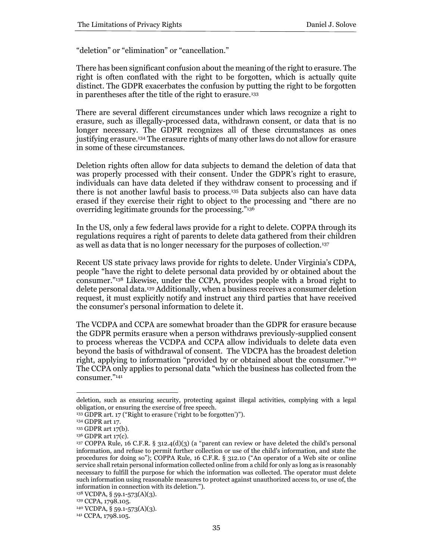"deletion" or "elimination" or "cancellation."

There has been significant confusion about the meaning of the right to erasure. The right is often conflated with the right to be forgotten, which is actually quite distinct. The GDPR exacerbates the confusion by putting the right to be forgotten in parentheses after the title of the right to erasure.<sup>133</sup>

There are several different circumstances under which laws recognize a right to erasure, such as illegally-processed data, withdrawn consent, or data that is no longer necessary. The GDPR recognizes all of these circumstances as ones justifying erasure.<sup>134</sup> The erasure rights of many other laws do not allow for erasure in some of these circumstances.

Deletion rights often allow for data subjects to demand the deletion of data that was properly processed with their consent. Under the GDPR's right to erasure, individuals can have data deleted if they withdraw consent to processing and if there is not another lawful basis to process.<sup>135</sup> Data subjects also can have data erased if they exercise their right to object to the processing and "there are no overriding legitimate grounds for the processing."<sup>136</sup>

In the US, only a few federal laws provide for a right to delete. COPPA through its regulations requires a right of parents to delete data gathered from their children as well as data that is no longer necessary for the purposes of collection.<sup>137</sup>

Recent US state privacy laws provide for rights to delete. Under Virginia's CDPA, people "have the right to delete personal data provided by or obtained about the consumer."<sup>138</sup> Likewise, under the CCPA, provides people with a broad right to delete personal data.<sup>139</sup> Additionally, when a business receives a consumer deletion request, it must explicitly notify and instruct any third parties that have received the consumer's personal information to delete it.

The VCDPA and CCPA are somewhat broader than the GDPR for erasure because the GDPR permits erasure when a person withdraws previously-supplied consent to process whereas the VCDPA and CCPA allow individuals to delete data even beyond the basis of withdrawal of consent. The VDCPA has the broadest deletion right, applying to information "provided by or obtained about the consumer."<sup>140</sup> The CCPA only applies to personal data "which the business has collected from the consumer."<sup>141</sup>

deletion, such as ensuring security, protecting against illegal activities, complying with a legal obligation, or ensuring the exercise of free speech.

<sup>133</sup> GDPR art. 17 ("Right to erasure ('right to be forgotten')").

<sup>134</sup> GDPR art 17.

<sup>135</sup> GDPR art 17(b).

<sup>136</sup> GDPR art 17(c).

<sup>137</sup> COPPA Rule, 16 C.F.R. § 312.4(d)(3) (a "parent can review or have deleted the child's personal information, and refuse to permit further collection or use of the child's information, and state the procedures for doing so"); COPPA Rule, 16 C.F.R. § 312.10 ("An operator of a Web site or online service shall retain personal information collected online from a child for only as long as is reasonably necessary to fulfill the purpose for which the information was collected. The operator must delete such information using reasonable measures to protect against unauthorized access to, or use of, the information in connection with its deletion.").

<sup>138</sup> VCDPA, § 59.1-573(A)(3).

<sup>139</sup> CCPA, 1798.105.

<sup>140</sup> VCDPA, § 59.1-573(A)(3).

<sup>141</sup> CCPA, 1798.105.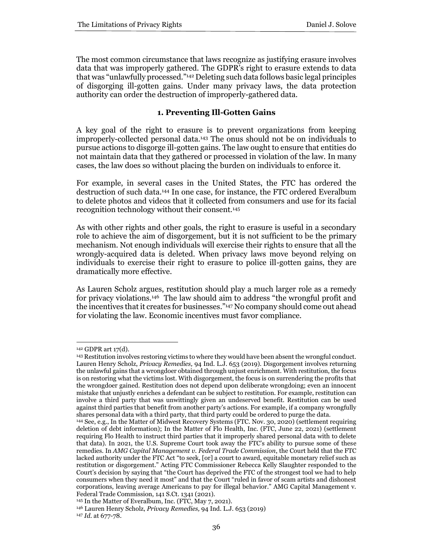The most common circumstance that laws recognize as justifying erasure involves data that was improperly gathered. The GDPR's right to erasure extends to data that was "unlawfully processed."<sup>142</sup> Deleting such data follows basic legal principles of disgorging ill-gotten gains. Under many privacy laws, the data protection authority can order the destruction of improperly-gathered data.

# **1. Preventing Ill-Gotten Gains**

A key goal of the right to erasure is to prevent organizations from keeping improperly-collected personal data.<sup>143</sup> The onus should not be on individuals to pursue actions to disgorge ill-gotten gains. The law ought to ensure that entities do not maintain data that they gathered or processed in violation of the law. In many cases, the law does so without placing the burden on individuals to enforce it.

For example, in several cases in the United States, the FTC has ordered the destruction of such data.<sup>144</sup> In one case, for instance, the FTC ordered Everalbum to delete photos and videos that it collected from consumers and use for its facial recognition technology without their consent.<sup>145</sup>

As with other rights and other goals, the right to erasure is useful in a secondary role to achieve the aim of disgorgement, but it is not sufficient to be the primary mechanism. Not enough individuals will exercise their rights to ensure that all the wrongly-acquired data is deleted. When privacy laws move beyond relying on individuals to exercise their right to erasure to police ill-gotten gains, they are dramatically more effective.

As Lauren Scholz argues, restitution should play a much larger role as a remedy for privacy violations.<sup>146</sup> The law should aim to address "the wrongful profit and the incentives that it creates for businesses."<sup>147</sup> No company should come out ahead for violating the law. Economic incentives must favor compliance.

<sup>142</sup> GDPR art 17(d).

<sup>143</sup> Restitution involves restoring victims to where they would have been absent the wrongful conduct. Lauren Henry Scholz, *Privacy Remedies,* 94 Ind. L.J. 653 (2019). Disgorgement involves returning the unlawful gains that a wrongdoer obtained through unjust enrichment. With restitution, the focus is on restoring what the victims lost. With disgorgement, the focus is on surrendering the profits that the wrongdoer gained. Restitution does not depend upon deliberate wrongdoing; even an innocent mistake that unjustly enriches a defendant can be subject to restitution. For example, restitution can involve a third party that was unwittingly given an undeserved benefit. Restitution can be used against third parties that benefit from another party's actions. For example, if a company wrongfully shares personal data with a third party, that third party could be ordered to purge the data.

<sup>144</sup> See, e.g., In the Matter of Midwest Recovery Systems (FTC. Nov. 30, 2020) (settlement requiring deletion of debt information); In the Matter of Flo Health, Inc. (FTC, June 22, 2021) (settlement requiring Flo Health to instruct third parties that it improperly shared personal data with to delete that data). In 2021, the U.S. Supreme Court took away the FTC's ability to pursue some of these remedies. In *AMG Capital Management v. Federal Trade Commission*, the Court held that the FTC lacked authority under the FTC Act "to seek, [or] a court to award, equitable monetary relief such as restitution or disgorgement." Acting FTC Commissioner Rebecca Kelly Slaughter responded to the Court's decision by saying that "the Court has deprived the FTC of the strongest tool we had to help consumers when they need it most" and that the Court "ruled in favor of scam artists and dishonest corporations, leaving average Americans to pay for illegal behavior." AMG Capital Management v. Federal Trade Commission, 141 S.Ct. 1341 (2021).

<sup>145</sup> In the Matter of Everalbum, Inc. (FTC, May 7, 2021).

<sup>146</sup> Lauren Henry Scholz, *Privacy Remedies,* 94 Ind. L.J. 653 (2019)

<sup>147</sup> *Id.* at 677-78.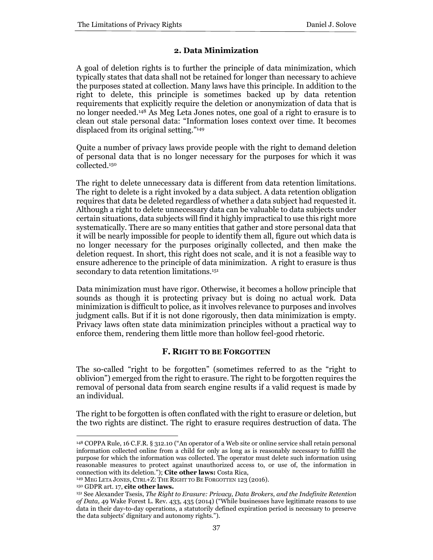# **2. Data Minimization**

A goal of deletion rights is to further the principle of data minimization, which typically states that data shall not be retained for longer than necessary to achieve the purposes stated at collection. Many laws have this principle. In addition to the right to delete, this principle is sometimes backed up by data retention requirements that explicitly require the deletion or anonymization of data that is no longer needed.<sup>148</sup> As Meg Leta Jones notes, one goal of a right to erasure is to clean out stale personal data: "Information loses context over time. It becomes displaced from its original setting."<sup>149</sup>

Quite a number of privacy laws provide people with the right to demand deletion of personal data that is no longer necessary for the purposes for which it was collected.<sup>150</sup>

The right to delete unnecessary data is different from data retention limitations. The right to delete is a right invoked by a data subject. A data retention obligation requires that data be deleted regardless of whether a data subject had requested it. Although a right to delete unnecessary data can be valuable to data subjects under certain situations, data subjects will find it highly impractical to use this right more systematically. There are so many entities that gather and store personal data that it will be nearly impossible for people to identify them all, figure out which data is no longer necessary for the purposes originally collected, and then make the deletion request. In short, this right does not scale, and it is not a feasible way to ensure adherence to the principle of data minimization. A right to erasure is thus secondary to data retention limitations.<sup>151</sup>

Data minimization must have rigor. Otherwise, it becomes a hollow principle that sounds as though it is protecting privacy but is doing no actual work. Data minimization is difficult to police, as it involves relevance to purposes and involves judgment calls. But if it is not done rigorously, then data minimization is empty. Privacy laws often state data minimization principles without a practical way to enforce them, rendering them little more than hollow feel-good rhetoric.

#### **F. RIGHT TO BE FORGOTTEN**

The so-called "right to be forgotten" (sometimes referred to as the "right to oblivion") emerged from the right to erasure. The right to be forgotten requires the removal of personal data from search engine results if a valid request is made by an individual.

The right to be forgotten is often conflated with the right to erasure or deletion, but the two rights are distinct. The right to erasure requires destruction of data. The

<sup>148</sup> COPPA Rule, 16 C.F.R. § 312.10 ("An operator of a Web site or online service shall retain personal information collected online from a child for only as long as is reasonably necessary to fulfill the purpose for which the information was collected. The operator must delete such information using reasonable measures to protect against unauthorized access to, or use of, the information in connection with its deletion."); **Cite other laws:** Costa Rica,

<sup>149</sup> MEG LETA JONES, CTRL+Z: THE RIGHT TO BE FORGOTTEN 123 (2016).

<sup>150</sup> GDPR art. 17, **cite other laws.**

<sup>151</sup> See Alexander Tsesis, *The Right to Erasure: Privacy, Data Brokers, and the Indefinite Retention of Data*, 49 Wake Forest L. Rev. 433, 435 (2014) ("While businesses have legitimate reasons to use data in their day-to-day operations, a statutorily defined expiration period is necessary to preserve the data subjects' dignitary and autonomy rights.").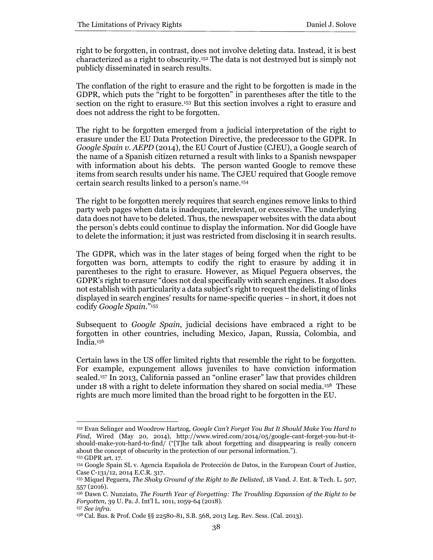right to be forgotten, in contrast, does not involve deleting data. Instead, it is best characterized as a right to obscurity.<sup>152</sup> The data is not destroyed but is simply not publicly disseminated in search results.

The conflation of the right to erasure and the right to be forgotten is made in the GDPR, which puts the "right to be forgotten" in parentheses after the title to the section on the right to erasure.<sup>153</sup> But this section involves a right to erasure and does not address the right to be forgotten.

The right to be forgotten emerged from a judicial interpretation of the right to erasure under the EU Data Protection Directive, the predecessor to the GDPR. In *Google Spain v. AEPD* (2014), the EU Court of Justice (CJEU), a Google search of the name of a Spanish citizen returned a result with links to a Spanish newspaper with information about his debts. The person wanted Google to remove these items from search results under his name. The CJEU required that Google remove certain search results linked to a person's name.<sup>154</sup>

The right to be forgotten merely requires that search engines remove links to third party web pages when data is inadequate, irrelevant, or excessive. The underlying data does not have to be deleted. Thus, the newspaper websites with the data about the person's debts could continue to display the information. Nor did Google have to delete the information; it just was restricted from disclosing it in search results.

The GDPR, which was in the later stages of being forged when the right to be forgotten was born, attempts to codify the right to erasure by adding it in parentheses to the right to erasure. However, as Miquel Peguera observes, the GDPR's right to erasure "does not deal specifically with search engines. It also does not establish with particularity a data subject's right to request the delisting of links displayed in search engines' results for name-specific queries – in short, it does not codify *Google Spain*." 155

Subsequent to *Google Spain*, judicial decisions have embraced a right to be forgotten in other countries, including Mexico, Japan, Russia, Colombia, and India.<sup>156</sup>

Certain laws in the US offer limited rights that resemble the right to be forgotten. For example, expungement allows juveniles to have conviction information sealed.<sup>157</sup> In 2013, California passed an "online eraser" law that provides children under 18 with a right to delete information they shared on social media.<sup>158</sup> These rights are much more limited than the broad right to be forgotten in the EU.

<sup>152</sup> Evan Selinger and Woodrow Hartzog, *Google Can't Forget You But It Should Make You Hard to Find*, Wired (May 20, 2014), http://www.wired.com/2014/05/google-cant-forget-you-but-itshould-make-you-hard-to-find/ ("[T]he talk about forgetting and disappearing is really concern about the concept of obscurity in the protection of our personal information."). <sup>153</sup> GDPR art. 17.

<sup>154</sup> Google Spain SL v. Agencia Española de Protección de Datos, in the European Court of Justice, Case C-131/12, 2014 E.C.R. 317.

<sup>155</sup> Miquel Peguera, *The Shaky Ground of the Right to Be Delisted*, 18 Vand. J. Ent. & Tech. L. 507, 557 (2016).

<sup>156</sup> Dawn C. Nunziato, *The Fourth Year of Forgetting: The Troubling Expansion of the Right to be Forgotten*, 39 U. Pa. J. Int'l L. 1011, 1059-64 (2018).

<sup>157</sup> *See infra.*

<sup>158</sup> Cal. Bus. & Prof. Code §§ 22580-81, S.B. 568, 2013 Leg. Rev. Sess. (Cal. 2013).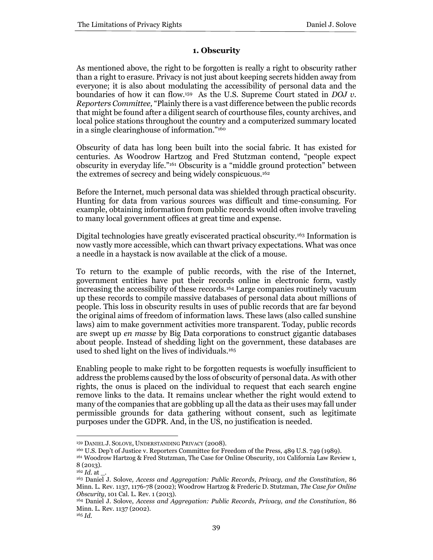# **1. Obscurity**

As mentioned above, the right to be forgotten is really a right to obscurity rather than a right to erasure. Privacy is not just about keeping secrets hidden away from everyone; it is also about modulating the accessibility of personal data and the boundaries of how it can flow.<sup>159</sup> As the U.S. Supreme Court stated in *DOJ v. Reporters Committee,* "Plainly there is a vast difference between the public records that might be found after a diligent search of courthouse files, county archives, and local police stations throughout the country and a computerized summary located in a single clearinghouse of information."<sup>160</sup>

Obscurity of data has long been built into the social fabric. It has existed for centuries. As Woodrow Hartzog and Fred Stutzman contend, "people expect obscurity in everyday life."<sup>161</sup> Obscurity is a "middle ground protection" between the extremes of secrecy and being widely conspicuous.<sup>162</sup>

Before the Internet, much personal data was shielded through practical obscurity. Hunting for data from various sources was difficult and time-consuming. For example, obtaining information from public records would often involve traveling to many local government offices at great time and expense.

Digital technologies have greatly eviscerated practical obscurity.<sup>163</sup> Information is now vastly more accessible, which can thwart privacy expectations. What was once a needle in a haystack is now available at the click of a mouse.

To return to the example of public records, with the rise of the Internet, government entities have put their records online in electronic form, vastly increasing the accessibility of these records.<sup>164</sup> Large companies routinely vacuum up these records to compile massive databases of personal data about millions of people. This loss in obscurity results in uses of public records that are far beyond the original aims of freedom of information laws. These laws (also called sunshine laws) aim to make government activities more transparent. Today, public records are swept up *en masse* by Big Data corporations to construct gigantic databases about people. Instead of shedding light on the government, these databases are used to shed light on the lives of individuals.<sup>165</sup>

Enabling people to make right to be forgotten requests is woefully insufficient to address the problems caused by the loss of obscurity of personal data. As with other rights, the onus is placed on the individual to request that each search engine remove links to the data. It remains unclear whether the right would extend to many of the companies that are gobbling up all the data as their uses may fall under permissible grounds for data gathering without consent, such as legitimate purposes under the GDPR. And, in the US, no justification is needed.

<sup>159</sup> DANIEL J. SOLOVE, UNDERSTANDING PRIVACY (2008).

<sup>160</sup> U.S. Dep't of Justice v. Reporters Committee for Freedom of the Press, 489 U.S. 749 (1989).

<sup>161</sup> Woodrow Hartzog & Fred Stutzman, The Case for Online Obscurity, 101 California Law Review 1, 8 (2013).

<sup>162</sup> *Id.* at \_.

<sup>163</sup> Daniel J. Solove*, Access and Aggregation: Public Records, Privacy, and the Constitution*, 86 Minn. L. Rev. 1137, 1176-78 (2002); Woodrow Hartzog & Frederic D. Stutzman, *The Case for Online Obscurity*, 101 Cal. L. Rev. 1 (2013).

<sup>164</sup> Daniel J. Solove, *Access and Aggregation: Public Records, Privacy, and the Constitution*, 86 Minn. L. Rev. 1137 (2002).

<sup>165</sup> *Id.*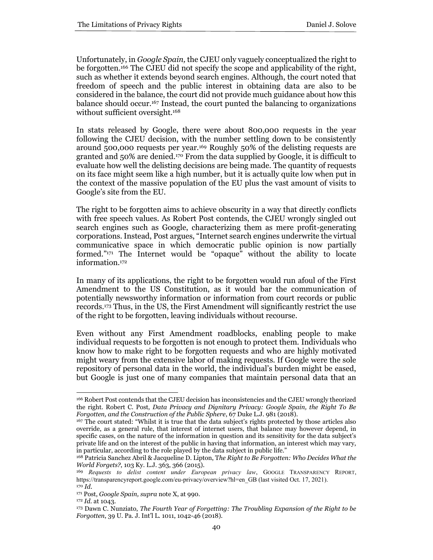Unfortunately, in *Google Spain,* the CJEU only vaguely conceptualized the right to be forgotten.<sup>166</sup> The CJEU did not specify the scope and applicability of the right, such as whether it extends beyond search engines. Although, the court noted that freedom of speech and the public interest in obtaining data are also to be considered in the balance, the court did not provide much guidance about how this balance should occur.<sup>167</sup> Instead, the court punted the balancing to organizations without sufficient oversight.<sup>168</sup>

In stats released by Google, there were about 800,000 requests in the year following the CJEU decision, with the number settling down to be consistently around 500,000 requests per year.<sup>169</sup> Roughly 50% of the delisting requests are granted and 50% are denied.<sup>170</sup> From the data supplied by Google, it is difficult to evaluate how well the delisting decisions are being made. The quantity of requests on its face might seem like a high number, but it is actually quite low when put in the context of the massive population of the EU plus the vast amount of visits to Google's site from the EU.

The right to be forgotten aims to achieve obscurity in a way that directly conflicts with free speech values. As Robert Post contends, the CJEU wrongly singled out search engines such as Google, characterizing them as mere profit-generating corporations. Instead, Post argues, "Internet search engines underwrite the virtual communicative space in which democratic public opinion is now partially formed."<sup>171</sup> The Internet would be "opaque" without the ability to locate information.<sup>172</sup>

In many of its applications, the right to be forgotten would run afoul of the First Amendment to the US Constitution, as it would bar the communication of potentially newsworthy information or information from court records or public records.<sup>173</sup> Thus, in the US, the First Amendment will significantly restrict the use of the right to be forgotten, leaving individuals without recourse.

Even without any First Amendment roadblocks, enabling people to make individual requests to be forgotten is not enough to protect them. Individuals who know how to make right to be forgotten requests and who are highly motivated might weary from the extensive labor of making requests. If Google were the sole repository of personal data in the world, the individual's burden might be eased, but Google is just one of many companies that maintain personal data that an

<sup>166</sup> Robert Post contends that the CJEU decision has inconsistencies and the CJEU wrongly theorized the right. Robert C. Post, *Data Privacy and Dignitary Privacy: Google Spain, the Right To Be Forgotten, and the Construction of the Public Sphere*, 67 Duke L.J. 981 (2018).

<sup>167</sup> The court stated: "Whilst it is true that the data subject's rights protected by those articles also override, as a general rule, that interest of internet users, that balance may however depend, in specific cases, on the nature of the information in question and its sensitivity for the data subject's private life and on the interest of the public in having that information, an interest which may vary, in particular, according to the role played by the data subject in public life."

<sup>168</sup> Patricia Sanchez Abril & Jacqueline D. Lipton, T*he Right to Be Forgotten: Who Decides What the World Forgets?*, 103 Ky. L.J. 363, 366 (2015).

<sup>169</sup> *Requests to delist content under European privacy law*, GOOGLE TRANSPARENCY REPORT, https://transparencyreport.google.com/eu-privacy/overview?hl=en\_GB (last visited Oct. 17, 2021). <sup>170</sup> *Id.*

<sup>171</sup> Post, *Google Spain, supra* note X, at 990.

<sup>172</sup> *Id.* at 1043.

<sup>173</sup> Dawn C. Nunziato, *The Fourth Year of Forgetting: The Troubling Expansion of the Right to be Forgotten*, 39 U. Pa. J. Int'l L. 1011, 1042-46 (2018).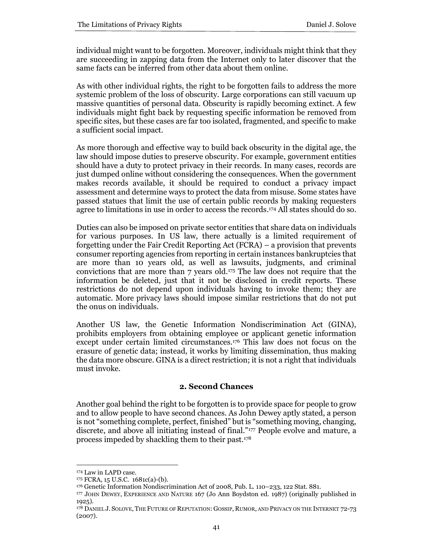individual might want to be forgotten. Moreover, individuals might think that they are succeeding in zapping data from the Internet only to later discover that the same facts can be inferred from other data about them online.

As with other individual rights, the right to be forgotten fails to address the more systemic problem of the loss of obscurity. Large corporations can still vacuum up massive quantities of personal data. Obscurity is rapidly becoming extinct. A few individuals might fight back by requesting specific information be removed from specific sites, but these cases are far too isolated, fragmented, and specific to make a sufficient social impact.

As more thorough and effective way to build back obscurity in the digital age, the law should impose duties to preserve obscurity. For example, government entities should have a duty to protect privacy in their records. In many cases, records are just dumped online without considering the consequences. When the government makes records available, it should be required to conduct a privacy impact assessment and determine ways to protect the data from misuse. Some states have passed statues that limit the use of certain public records by making requesters agree to limitations in use in order to access the records. <sup>174</sup> All states should do so.

Duties can also be imposed on private sector entities that share data on individuals for various purposes. In US law, there actually is a limited requirement of forgetting under the Fair Credit Reporting Act (FCRA) – a provision that prevents consumer reporting agencies from reporting in certain instances bankruptcies that are more than 10 years old, as well as lawsuits, judgments, and criminal convictions that are more than 7 years old.<sup>175</sup> The law does not require that the information be deleted, just that it not be disclosed in credit reports. These restrictions do not depend upon individuals having to invoke them; they are automatic. More privacy laws should impose similar restrictions that do not put the onus on individuals.

Another US law, the Genetic Information Nondiscrimination Act (GINA), prohibits employers from obtaining employee or applicant genetic information except under certain limited circumstances.<sup>176</sup> This law does not focus on the erasure of genetic data; instead, it works by limiting dissemination, thus making the data more obscure. GINA is a direct restriction; it is not a right that individuals must invoke.

# **2. Second Chances**

Another goal behind the right to be forgotten is to provide space for people to grow and to allow people to have second chances. As John Dewey aptly stated, a person is not "something complete, perfect, finished" but is "something moving, changing, discrete, and above all initiating instead of final."<sup>177</sup> People evolve and mature, a process impeded by shackling them to their past.<sup>178</sup>

<sup>174</sup> Law in LAPD case.

<sup>175</sup> FCRA, 15 U.S.C. 1681c(a)-(b).

<sup>176</sup> Genetic Information Nondiscrimination Act of 2008, Pub. L. 110–233, 122 Stat. 881.

<sup>177</sup> JOHN DEWEY, EXPERIENCE AND NATURE 167 (Jo Ann Boydston ed. 1987) (originally published in 1925).

<sup>178</sup> DANIEL J. SOLOVE, THE FUTURE OF REPUTATION: GOSSIP, RUMOR, AND PRIVACY ON THE INTERNET 72-73 (2007).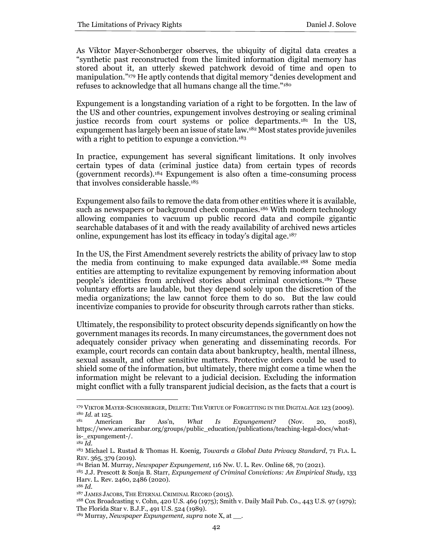As Viktor Mayer-Schonberger observes, the ubiquity of digital data creates a "synthetic past reconstructed from the limited information digital memory has stored about it, an utterly skewed patchwork devoid of time and open to manipulation."<sup>179</sup> He aptly contends that digital memory "denies development and refuses to acknowledge that all humans change all the time."<sup>180</sup>

Expungement is a longstanding variation of a right to be forgotten. In the law of the US and other countries, expungement involves destroying or sealing criminal justice records from court systems or police departments.<sup>181</sup> In the US, expungement has largely been an issue of state law.<sup>182</sup> Most states provide juveniles with a right to petition to expunge a conviction.<sup>183</sup>

In practice, expungement has several significant limitations. It only involves certain types of data (criminal justice data) from certain types of records (government records).<sup>184</sup> Expungement is also often a time-consuming process that involves considerable hassle.<sup>185</sup>

Expungement also fails to remove the data from other entities where it is available, such as newspapers or background check companies.<sup>186</sup> With modern technology allowing companies to vacuum up public record data and compile gigantic searchable databases of it and with the ready availability of archived news articles online, expungement has lost its efficacy in today's digital age.<sup>187</sup>

In the US, the First Amendment severely restricts the ability of privacy law to stop the media from continuing to make expunged data available.<sup>188</sup> Some media entities are attempting to revitalize expungement by removing information about people's identities from archived stories about criminal convictions.<sup>189</sup> These voluntary efforts are laudable, but they depend solely upon the discretion of the media organizations; the law cannot force them to do so. But the law could incentivize companies to provide for obscurity through carrots rather than sticks.

Ultimately, the responsibility to protect obscurity depends significantly on how the government manages its records. In many circumstances, the government does not adequately consider privacy when generating and disseminating records. For example, court records can contain data about bankruptcy, health, mental illness, sexual assault, and other sensitive matters. Protective orders could be used to shield some of the information, but ultimately, there might come a time when the information might be relevant to a judicial decision. Excluding the information might conflict with a fully transparent judicial decision, as the facts that a court is

<sup>179</sup> VIKTOR MAYER-SCHONBERGER, DELETE: THE VIRTUE OF FORGETTING IN THE DIGITAL AGE 123 (2009).  $^{180}$  *Id.* at 125.

<sup>181</sup> American Bar Ass'n, *What Is Expungement?* (Nov. 20, 2018), https://www.americanbar.org/groups/public\_education/publications/teaching-legal-docs/whatis-\_expungement-/.

 $\overline{^{182}Id.}$ 

<sup>183</sup> Michael L. Rustad & Thomas H. Koenig, *Towards a Global Data Privacy Standard*, 71 FLA. L. REV. 365, 379 (2019).

<sup>184</sup> Brian M. Murray, *Newspaper Expungement,* 116 Nw. U. L. Rev. Online 68, 70 (2021).

<sup>185</sup> J.J. Prescott & Sonja B. Starr, *Expungement of Criminal Convictions: An Empirical Study*, 133 Harv. L. Rev. 2460, 2486 (2020).

<sup>186</sup> *Id.*

<sup>187</sup> JAMES JACOBS, THE ETERNAL CRIMINAL RECORD (2015).

<sup>188</sup> Cox Broadcasting v. Cohn, 420 U.S. 469 (1975); Smith v. Daily Mail Pub. Co., 443 U.S. 97 (1979); The Florida Star v. B.J.F., 491 U.S. 524 (1989).

<sup>189</sup> Murray, *Newspaper Expungement, supra* note X, at \_\_.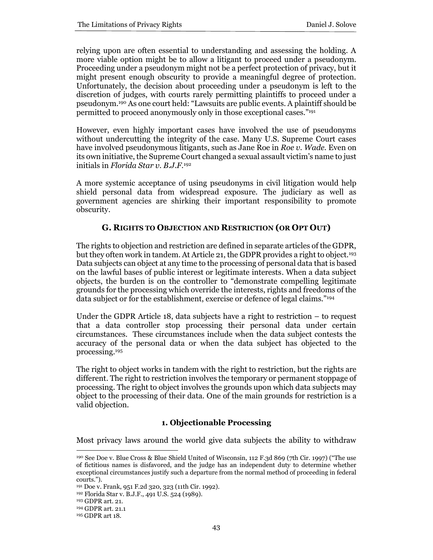relying upon are often essential to understanding and assessing the holding. A more viable option might be to allow a litigant to proceed under a pseudonym. Proceeding under a pseudonym might not be a perfect protection of privacy, but it might present enough obscurity to provide a meaningful degree of protection. Unfortunately, the decision about proceeding under a pseudonym is left to the discretion of judges, with courts rarely permitting plaintiffs to proceed under a pseudonym.<sup>190</sup> As one court held: "Lawsuits are public events. A plaintiff should be permitted to proceed anonymously only in those exceptional cases." 191

However, even highly important cases have involved the use of pseudonyms without undercutting the integrity of the case. Many U.S. Supreme Court cases have involved pseudonymous litigants, such as Jane Roe in *Roe v. Wade.* Even on its own initiative, the Supreme Court changed a sexual assault victim's name to just initials in *Florida Star v. B.J.F.*<sup>192</sup>

A more systemic acceptance of using pseudonyms in civil litigation would help shield personal data from widespread exposure. The judiciary as well as government agencies are shirking their important responsibility to promote obscurity.

# **G. RIGHTS TO OBJECTION AND RESTRICTION (OR OPT OUT)**

The rights to objection and restriction are defined in separate articles of the GDPR, but they often work in tandem. At Article 21, the GDPR provides a right to object.<sup>193</sup> Data subjects can object at any time to the processing of personal data that is based on the lawful bases of public interest or legitimate interests. When a data subject objects, the burden is on the controller to "demonstrate compelling legitimate grounds for the processing which override the interests, rights and freedoms of the data subject or for the establishment, exercise or defence of legal claims."<sup>194</sup>

Under the GDPR Article 18, data subjects have a right to restriction – to request that a data controller stop processing their personal data under certain circumstances. These circumstances include when the data subject contests the accuracy of the personal data or when the data subject has objected to the processing.<sup>195</sup>

The right to object works in tandem with the right to restriction, but the rights are different. The right to restriction involves the temporary or permanent stoppage of processing. The right to object involves the grounds upon which data subjects may object to the processing of their data. One of the main grounds for restriction is a valid objection.

# **1. Objectionable Processing**

Most privacy laws around the world give data subjects the ability to withdraw

<sup>190</sup> See Doe v. Blue Cross & Blue Shield United of Wisconsin, 112 F.3d 869 (7th Cir. 1997) ("The use of fictitious names is disfavored, and the judge has an independent duty to determine whether exceptional circumstances justify such a departure from the normal method of proceeding in federal courts.").

<sup>191</sup> Doe v. Frank, 951 F.2d 320, 323 (11th Cir. 1992).

<sup>192</sup> Florida Star v. B.J.F., 491 U.S. 524 (1989).

<sup>193</sup> GDPR art. 21.

<sup>194</sup> GDPR art. 21.1

<sup>195</sup> GDPR art 18.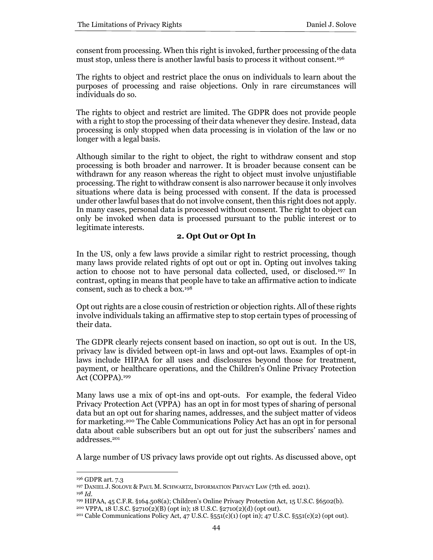consent from processing. When this right is invoked, further processing of the data must stop, unless there is another lawful basis to process it without consent.<sup>196</sup>

The rights to object and restrict place the onus on individuals to learn about the purposes of processing and raise objections. Only in rare circumstances will individuals do so.

The rights to object and restrict are limited. The GDPR does not provide people with a right to stop the processing of their data whenever they desire. Instead, data processing is only stopped when data processing is in violation of the law or no longer with a legal basis.

Although similar to the right to object, the right to withdraw consent and stop processing is both broader and narrower. It is broader because consent can be withdrawn for any reason whereas the right to object must involve unjustifiable processing. The right to withdraw consent is also narrower because it only involves situations where data is being processed with consent. If the data is processed under other lawful bases that do not involve consent, then this right does not apply. In many cases, personal data is processed without consent. The right to object can only be invoked when data is processed pursuant to the public interest or to legitimate interests.

# **2. Opt Out or Opt In**

In the US, only a few laws provide a similar right to restrict processing, though many laws provide related rights of opt out or opt in. Opting out involves taking action to choose not to have personal data collected, used, or disclosed.<sup>197</sup> In contrast, opting in means that people have to take an affirmative action to indicate consent, such as to check a box.<sup>198</sup>

Opt out rights are a close cousin of restriction or objection rights. All of these rights involve individuals taking an affirmative step to stop certain types of processing of their data.

The GDPR clearly rejects consent based on inaction, so opt out is out. In the US, privacy law is divided between opt-in laws and opt-out laws. Examples of opt-in laws include HIPAA for all uses and disclosures beyond those for treatment, payment, or healthcare operations, and the Children's Online Privacy Protection Act (COPPA).<sup>199</sup>

Many laws use a mix of opt-ins and opt-outs. For example, the federal Video Privacy Protection Act (VPPA) has an opt in for most types of sharing of personal data but an opt out for sharing names, addresses, and the subject matter of videos for marketing.<sup>200</sup> The Cable Communications Policy Act has an opt in for personal data about cable subscribers but an opt out for just the subscribers' names and addresses.<sup>201</sup>

A large number of US privacy laws provide opt out rights. As discussed above, opt

<sup>196</sup> GDPR art. 7.3

<sup>197</sup> DANIEL J. SOLOVE & PAUL M. SCHWARTZ, INFORMATION PRIVACY LAW (7th ed. 2021).

<sup>198</sup> *Id.* 

<sup>199</sup> HIPAA, 45 C.F.R. §164.508(a); Children's Online Privacy Protection Act, 15 U.S.C. §6502(b).

<sup>200</sup> VPPA, 18 U.S.C. §2710(2)(B) (opt in); 18 U.S.C. §2710(2)(d) (opt out).

<sup>&</sup>lt;sup>201</sup> Cable Communications Policy Act, 47 U.S.C.  $\S_551(c)(1)$  (opt in); 47 U.S.C.  $\S_551(c)(2)$  (opt out).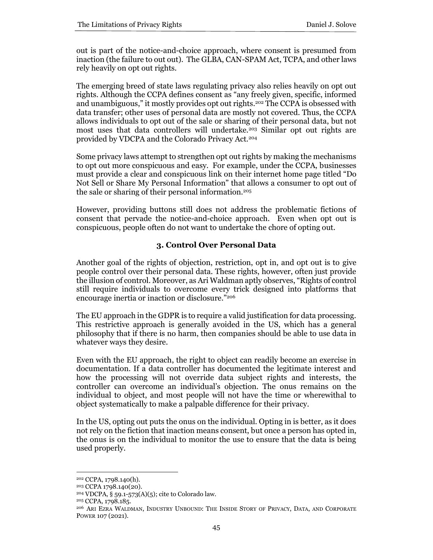out is part of the notice-and-choice approach, where consent is presumed from inaction (the failure to out out). The GLBA, CAN-SPAM Act, TCPA, and other laws rely heavily on opt out rights.

The emerging breed of state laws regulating privacy also relies heavily on opt out rights. Although the CCPA defines consent as "any freely given, specific, informed and unambiguous," it mostly provides opt out rights.<sup>202</sup> The CCPA is obsessed with data transfer; other uses of personal data are mostly not covered. Thus, the CCPA allows individuals to opt out of the sale or sharing of their personal data, but not most uses that data controllers will undertake.<sup>203</sup> Similar opt out rights are provided by VDCPA and the Colorado Privacy Act.<sup>204</sup>

Some privacy laws attempt to strengthen opt out rights by making the mechanisms to opt out more conspicuous and easy. For example, under the CCPA, businesses must provide a clear and conspicuous link on their internet home page titled "Do Not Sell or Share My Personal Information" that allows a consumer to opt out of the sale or sharing of their personal information.<sup>205</sup>

However, providing buttons still does not address the problematic fictions of consent that pervade the notice-and-choice approach. Even when opt out is conspicuous, people often do not want to undertake the chore of opting out.

# **3. Control Over Personal Data**

Another goal of the rights of objection, restriction, opt in, and opt out is to give people control over their personal data. These rights, however, often just provide the illusion of control. Moreover, as Ari Waldman aptly observes, "Rights of control still require individuals to overcome every trick designed into platforms that encourage inertia or inaction or disclosure."<sup>206</sup>

The EU approach in the GDPR is to require a valid justification for data processing. This restrictive approach is generally avoided in the US, which has a general philosophy that if there is no harm, then companies should be able to use data in whatever ways they desire.

Even with the EU approach, the right to object can readily become an exercise in documentation. If a data controller has documented the legitimate interest and how the processing will not override data subject rights and interests, the controller can overcome an individual's objection. The onus remains on the individual to object, and most people will not have the time or wherewithal to object systematically to make a palpable difference for their privacy.

In the US, opting out puts the onus on the individual. Opting in is better, as it does not rely on the fiction that inaction means consent, but once a person has opted in, the onus is on the individual to monitor the use to ensure that the data is being used properly.

<sup>202</sup> CCPA, 1798.140(h).

<sup>203</sup> CCPA 1798.140(20).

<sup>204</sup> VDCPA, § 59.1-573(A)(5); cite to Colorado law.

<sup>205</sup> CCPA, 1798.185.

<sup>206</sup> ARI EZRA WALDMAN, INDUSTRY UNBOUND: THE INSIDE STORY OF PRIVACY, DATA, AND CORPORATE POWER 107 (2021).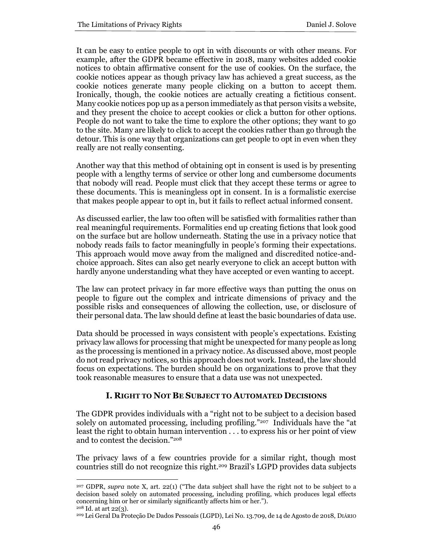It can be easy to entice people to opt in with discounts or with other means. For example, after the GDPR became effective in 2018, many websites added cookie notices to obtain affirmative consent for the use of cookies. On the surface, the cookie notices appear as though privacy law has achieved a great success, as the cookie notices generate many people clicking on a button to accept them. Ironically, though, the cookie notices are actually creating a fictitious consent. Many cookie notices pop up as a person immediately as that person visits a website, and they present the choice to accept cookies or click a button for other options. People do not want to take the time to explore the other options; they want to go to the site. Many are likely to click to accept the cookies rather than go through the detour. This is one way that organizations can get people to opt in even when they really are not really consenting.

Another way that this method of obtaining opt in consent is used is by presenting people with a lengthy terms of service or other long and cumbersome documents that nobody will read. People must click that they accept these terms or agree to these documents. This is meaningless opt in consent. In is a formalistic exercise that makes people appear to opt in, but it fails to reflect actual informed consent.

As discussed earlier, the law too often will be satisfied with formalities rather than real meaningful requirements. Formalities end up creating fictions that look good on the surface but are hollow underneath. Stating the use in a privacy notice that nobody reads fails to factor meaningfully in people's forming their expectations. This approach would move away from the maligned and discredited notice-andchoice approach. Sites can also get nearly everyone to click an accept button with hardly anyone understanding what they have accepted or even wanting to accept.

The law can protect privacy in far more effective ways than putting the onus on people to figure out the complex and intricate dimensions of privacy and the possible risks and consequences of allowing the collection, use, or disclosure of their personal data. The law should define at least the basic boundaries of data use.

Data should be processed in ways consistent with people's expectations. Existing privacy law allows for processing that might be unexpected for many people as long as the processing is mentioned in a privacy notice. As discussed above, most people do not read privacy notices, so this approach does not work. Instead, the law should focus on expectations. The burden should be on organizations to prove that they took reasonable measures to ensure that a data use was not unexpected.

# **I. RIGHT TO NOT BE SUBJECT TO AUTOMATED DECISIONS**

The GDPR provides individuals with a "right not to be subject to a decision based solely on automated processing, including profiling."<sup>207</sup> Individuals have the "at least the right to obtain human intervention . . . to express his or her point of view and to contest the decision."<sup>208</sup>

The privacy laws of a few countries provide for a similar right, though most countries still do not recognize this right.<sup>209</sup> Brazil's LGPD provides data subjects

<sup>207</sup> GDPR, *supra* note X, art. 22(1) ("The data subject shall have the right not to be subject to a decision based solely on automated processing, including profiling, which produces legal effects concerning him or her or similarly significantly affects him or her."). <sup>208</sup> Id. at art 22(3).

<sup>209</sup> Lei Geral Da Proteção De Dados Pessoais (LGPD), Lei No. 13.709, de 14 de Agosto de 2018, DIÁRIO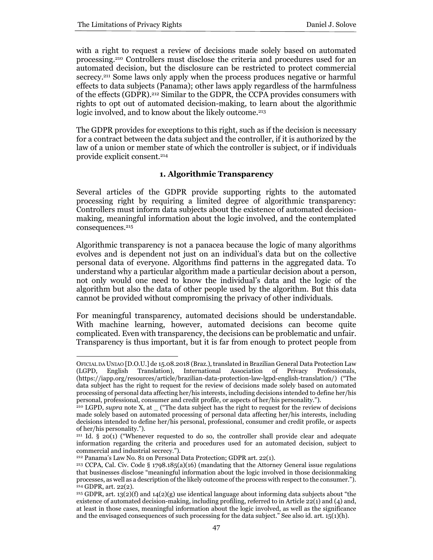with a right to request a review of decisions made solely based on automated processing.<sup>210</sup> Controllers must disclose the criteria and procedures used for an automated decision, but the disclosure can be restricted to protect commercial secrecy.<sup>211</sup> Some laws only apply when the process produces negative or harmful effects to data subjects (Panama); other laws apply regardless of the harmfulness of the effects (GDPR).<sup>212</sup> Similar to the GDPR, the CCPA provides consumers with rights to opt out of automated decision-making, to learn about the algorithmic logic involved, and to know about the likely outcome.<sup>213</sup>

The GDPR provides for exceptions to this right, such as if the decision is necessary for a contract between the data subject and the controller, if it is authorized by the law of a union or member state of which the controller is subject, or if individuals provide explicit consent.<sup>214</sup>

#### **1. Algorithmic Transparency**

Several articles of the GDPR provide supporting rights to the automated processing right by requiring a limited degree of algorithmic transparency: Controllers must inform data subjects about the existence of automated decisionmaking, meaningful information about the logic involved, and the contemplated consequences.<sup>215</sup>

Algorithmic transparency is not a panacea because the logic of many algorithms evolves and is dependent not just on an individual's data but on the collective personal data of everyone. Algorithms find patterns in the aggregated data. To understand why a particular algorithm made a particular decision about a person, not only would one need to know the individual's data and the logic of the algorithm but also the data of other people used by the algorithm. But this data cannot be provided without compromising the privacy of other individuals.

For meaningful transparency, automated decisions should be understandable. With machine learning, however, automated decisions can become quite complicated. Even with transparency, the decisions can be problematic and unfair. Transparency is thus important, but it is far from enough to protect people from

OFICIAL DA UNIAO [D.O.U.] de 15.08.2018 (Braz.), translated in Brazilian General Data Protection Law (LGPD, English Translation), International Association of Privacy Professionals, (https://iapp.org/resources/article/brazilian-data-protection-law-lgpd-english-translation/) ("The data subject has the right to request for the review of decisions made solely based on automated processing of personal data affecting her/his interests, including decisions intended to define her/his personal, professional, consumer and credit profile, or aspects of her/his personality.").

<sup>210</sup> LGPD, *supra* note X, at \_ ("The data subject has the right to request for the review of decisions made solely based on automated processing of personal data affecting her/his interests, including decisions intended to define her/his personal, professional, consumer and credit profile, or aspects of her/his personality.").

 $2^{11}$  Id. § 20(1) ("Whenever requested to do so, the controller shall provide clear and adequate information regarding the criteria and procedures used for an automated decision, subject to commercial and industrial secrecy.").

<sup>212</sup> Panama's Law No. 81 on Personal Data Protection; GDPR art. 22(1).

<sup>213</sup> CCPA, Cal. Civ. Code § 1798.185(a)(16) (mandating that the Attorney General issue regulations that businesses disclose "meaningful information about the logic involved in those decisionmaking processes, as well as a description of the likely outcome of the process with respect to the consumer."). <sup>214</sup> GDPR, art. 22(2).

<sup>&</sup>lt;sup>215</sup> GDPR, art. 13(2)(f) and 14(2)(g) use identical language about informing data subjects about "the existence of automated decision-making, including profiling, referred to in Article 22(1) and (4) and, at least in those cases, meaningful information about the logic involved, as well as the significance and the envisaged consequences of such processing for the data subject." See also id. art. 15(1)(h).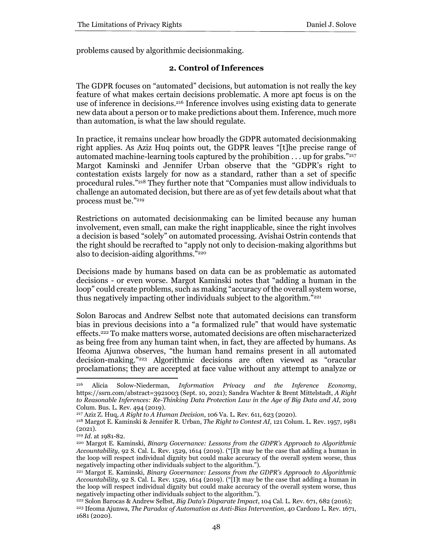problems caused by algorithmic decisionmaking.

#### **2. Control of Inferences**

The GDPR focuses on "automated" decisions, but automation is not really the key feature of what makes certain decisions problematic. A more apt focus is on the use of inference in decisions. <sup>216</sup> Inference involves using existing data to generate new data about a person or to make predictions about them. Inference, much more than automation, is what the law should regulate.

In practice, it remains unclear how broadly the GDPR automated decisionmaking right applies. As Aziz Huq points out, the GDPR leaves "[t]he precise range of automated machine-learning tools captured by the prohibition  $\dots$  up for grabs."<sup>217</sup> Margot Kaminski and Jennifer Urban observe that the "GDPR's right to contestation exists largely for now as a standard, rather than a set of specific procedural rules."<sup>218</sup> They further note that "Companies must allow individuals to challenge an automated decision, but there are as of yet few details about what that process must be."<sup>219</sup>

Restrictions on automated decisionmaking can be limited because any human involvement, even small, can make the right inapplicable, since the right involves a decision is based "solely" on automated processing. Avishai Ostrin contends that the right should be recrafted to "apply not only to decision-making algorithms but also to decision-aiding algorithms."<sup>220</sup>

Decisions made by humans based on data can be as problematic as automated decisions - or even worse. Margot Kaminski notes that "adding a human in the loop" could create problems, such as making "accuracy of the overall system worse, thus negatively impacting other individuals subject to the algorithm."<sup>221</sup>

Solon Barocas and Andrew Selbst note that automated decisions can transform bias in previous decisions into a "a formalized rule" that would have systematic effects.<sup>222</sup> To make matters worse, automated decisions are often mischaracterized as being free from any human taint when, in fact, they are affected by humans. As Ifeoma Ajunwa observes, "the human hand remains present in all automated decision-making."<sup>223</sup> Algorithmic decisions are often viewed as "oracular proclamations; they are accepted at face value without any attempt to analyze or

<sup>216</sup> Alicia Solow-Niederman, *Information Privacy and the Inference Economy*, https://ssrn.com/abstract=3921003 (Sept. 10, 2021); Sandra Wachter & Brent Mittelstadt, *A Right to Reasonable Inferences: Re-Thinking Data Protection Law in the Age of Big Data and AI*, 2019 Colum. Bus. L. Rev. 494 (2019).

<sup>217</sup> Aziz Z. Huq, *A Right to A Human Decision*, 106 Va. L. Rev. 611, 623 (2020).

<sup>218</sup> Margot E. Kaminski & Jennifer R. Urban, *The Right to Contest AI,* 121 Colum. L. Rev. 1957, 1981 (2021).

<sup>219</sup> *Id.* at 1981-82.

<sup>220</sup> Margot E. Kaminski, *Binary Governance: Lessons from the GDPR's Approach to Algorithmic Accountability*, 92 S. Cal. L. Rev. 1529, 1614 (2019). ("[I]t may be the case that adding a human in the loop will respect individual dignity but could make accuracy of the overall system worse, thus negatively impacting other individuals subject to the algorithm.").

<sup>221</sup> Margot E. Kaminski, *Binary Governance: Lessons from the GDPR's Approach to Algorithmic Accountability*, 92 S. Cal. L. Rev. 1529, 1614 (2019). ("[I]t may be the case that adding a human in the loop will respect individual dignity but could make accuracy of the overall system worse, thus negatively impacting other individuals subject to the algorithm.").

<sup>222</sup> Solon Barocas & Andrew Selbst, *Big Data's Disparate Impact*, 104 Cal. L. Rev. 671, 682 (2016); <sup>223</sup> Ifeoma Ajunwa, *The Paradox of Automation as Anti-Bias Intervention*, 40 Cardozo L. Rev. 1671, 1681 (2020).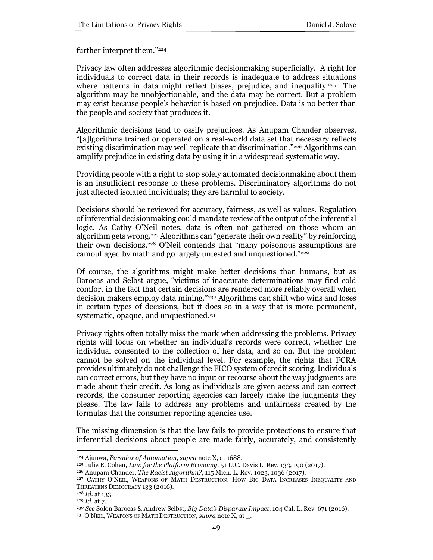further interpret them."<sup>224</sup>

Privacy law often addresses algorithmic decisionmaking superficially. A right for individuals to correct data in their records is inadequate to address situations where patterns in data might reflect biases, prejudice, and inequality.<sup>225</sup> The algorithm may be unobjectionable, and the data may be correct. But a problem may exist because people's behavior is based on prejudice. Data is no better than the people and society that produces it.

Algorithmic decisions tend to ossify prejudices. As Anupam Chander observes, "[a]lgorithms trained or operated on a real-world data set that necessary reflects existing discrimination may well replicate that discrimination."<sup>226</sup> Algorithms can amplify prejudice in existing data by using it in a widespread systematic way.

Providing people with a right to stop solely automated decisionmaking about them is an insufficient response to these problems. Discriminatory algorithms do not just affected isolated individuals; they are harmful to society.

Decisions should be reviewed for accuracy, fairness, as well as values. Regulation of inferential decisionmaking could mandate review of the output of the inferential logic. As Cathy O'Neil notes, data is often not gathered on those whom an algorithm gets wrong.<sup>227</sup> Algorithms can "generate their own reality" by reinforcing their own decisions.<sup>228</sup> O'Neil contends that "many poisonous assumptions are camouflaged by math and go largely untested and unquestioned."<sup>229</sup>

Of course, the algorithms might make better decisions than humans, but as Barocas and Selbst argue, "victims of inaccurate determinations may find cold comfort in the fact that certain decisions are rendered more reliably overall when decision makers employ data mining."<sup>230</sup> Algorithms can shift who wins and loses in certain types of decisions, but it does so in a way that is more permanent, systematic, opaque, and unquestioned.<sup>231</sup>

Privacy rights often totally miss the mark when addressing the problems. Privacy rights will focus on whether an individual's records were correct, whether the individual consented to the collection of her data, and so on. But the problem cannot be solved on the individual level. For example, the rights that FCRA provides ultimately do not challenge the FICO system of credit scoring. Individuals can correct errors, but they have no input or recourse about the way judgments are made about their credit. As long as individuals are given access and can correct records, the consumer reporting agencies can largely make the judgments they please. The law fails to address any problems and unfairness created by the formulas that the consumer reporting agencies use.

The missing dimension is that the law fails to provide protections to ensure that inferential decisions about people are made fairly, accurately, and consistently

<sup>224</sup> Ajunwa, *Paradox of Automation, supra* note X, at 1688.

<sup>225</sup> Julie E. Cohen, *Law for the Platform Economy*, 51 U.C. Davis L. Rev. 133, 190 (2017).

<sup>226</sup> Anupam Chander, *The Racist Algorithm?*, 115 Mich. L. Rev. 1023, 1036 (2017).

<sup>227</sup> CATHY O'NEIL, WEAPONS OF MATH DESTRUCTION: HOW BIG DATA INCREASES INEQUALITY AND THREATENS DEMOCRACY 133 (2016).

<sup>228</sup> *Id.* at 133.

<sup>229</sup> *Id.* at 7.

<sup>230</sup> *See* Solon Barocas & Andrew Selbst, *Big Data's Disparate Impact*, 104 Cal. L. Rev. 671 (2016).

<sup>231</sup> O'NEIL, WEAPONS OF MATH DESTRUCTION, *supra* note X, at \_.